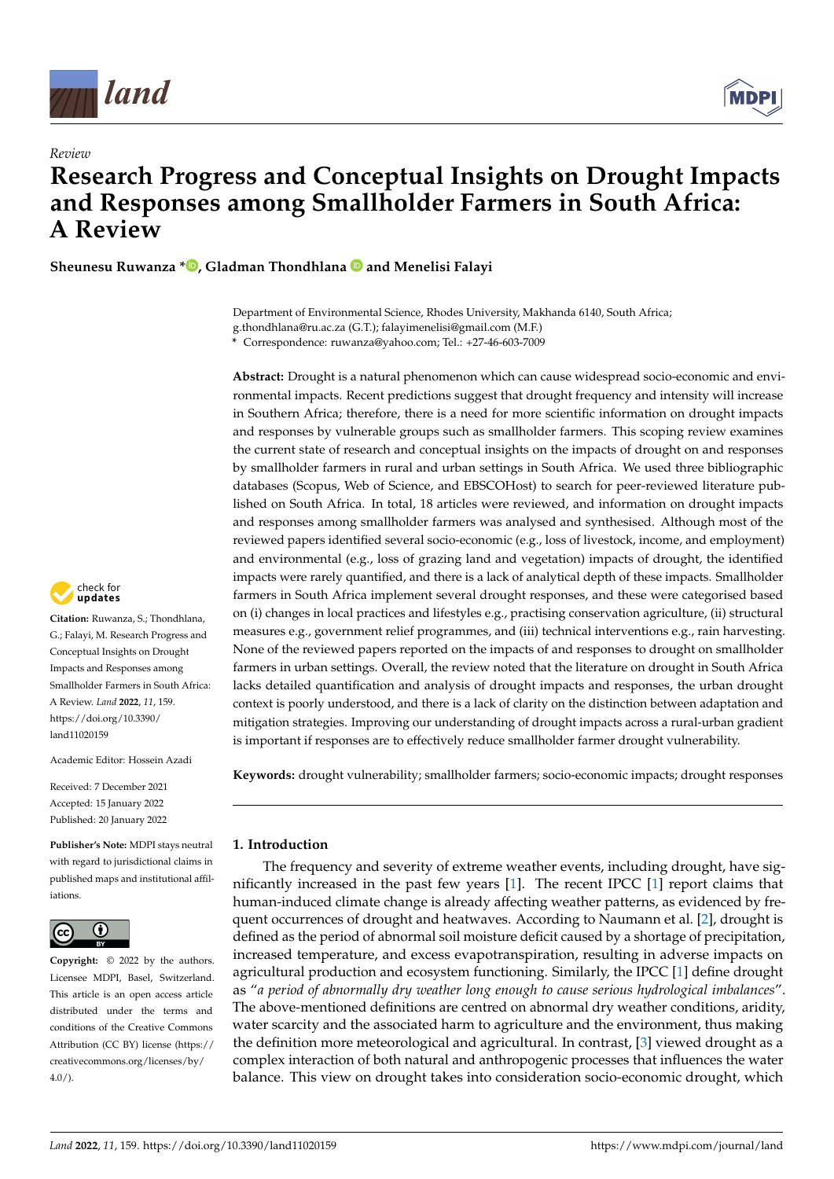

*Review*



# **Research Progress and Conceptual Insights on Drought Impacts and Responses among Smallholder Farmers in South Africa: A Review**

**Sheunesu Ruwanza \* [,](https://orcid.org/0000-0002-4731-0394) Gladman Thondhlana and Menelisi Falayi**

Department of Environmental Science, Rhodes University, Makhanda 6140, South Africa; g.thondhlana@ru.ac.za (G.T.); falayimenelisi@gmail.com (M.F.)

**\*** Correspondence: ruwanza@yahoo.com; Tel.: +27-46-603-7009

**Abstract:** Drought is a natural phenomenon which can cause widespread socio-economic and environmental impacts. Recent predictions suggest that drought frequency and intensity will increase in Southern Africa; therefore, there is a need for more scientific information on drought impacts and responses by vulnerable groups such as smallholder farmers. This scoping review examines the current state of research and conceptual insights on the impacts of drought on and responses by smallholder farmers in rural and urban settings in South Africa. We used three bibliographic databases (Scopus, Web of Science, and EBSCOHost) to search for peer-reviewed literature published on South Africa. In total, 18 articles were reviewed, and information on drought impacts and responses among smallholder farmers was analysed and synthesised. Although most of the reviewed papers identified several socio-economic (e.g., loss of livestock, income, and employment) and environmental (e.g., loss of grazing land and vegetation) impacts of drought, the identified impacts were rarely quantified, and there is a lack of analytical depth of these impacts. Smallholder farmers in South Africa implement several drought responses, and these were categorised based on (i) changes in local practices and lifestyles e.g., practising conservation agriculture, (ii) structural measures e.g., government relief programmes, and (iii) technical interventions e.g., rain harvesting. None of the reviewed papers reported on the impacts of and responses to drought on smallholder farmers in urban settings. Overall, the review noted that the literature on drought in South Africa lacks detailed quantification and analysis of drought impacts and responses, the urban drought context is poorly understood, and there is a lack of clarity on the distinction between adaptation and mitigation strategies. Improving our understanding of drought impacts across a rural-urban gradient is important if responses are to effectively reduce smallholder farmer drought vulnerability.

**Keywords:** drought vulnerability; smallholder farmers; socio-economic impacts; drought responses

### **1. Introduction**

The frequency and severity of extreme weather events, including drought, have significantly increased in the past few years [\[1\]](#page-13-0). The recent IPCC [\[1\]](#page-13-0) report claims that human-induced climate change is already affecting weather patterns, as evidenced by frequent occurrences of drought and heatwaves. According to Naumann et al. [\[2\]](#page-13-1), drought is defined as the period of abnormal soil moisture deficit caused by a shortage of precipitation, increased temperature, and excess evapotranspiration, resulting in adverse impacts on agricultural production and ecosystem functioning. Similarly, the IPCC [\[1\]](#page-13-0) define drought as "*a period of abnormally dry weather long enough to cause serious hydrological imbalances*". The above-mentioned definitions are centred on abnormal dry weather conditions, aridity, water scarcity and the associated harm to agriculture and the environment, thus making the definition more meteorological and agricultural. In contrast, [\[3\]](#page-13-2) viewed drought as a complex interaction of both natural and anthropogenic processes that influences the water balance. This view on drought takes into consideration socio-economic drought, which



**Citation:** Ruwanza, S.; Thondhlana, G.; Falayi, M. Research Progress and Conceptual Insights on Drought Impacts and Responses among Smallholder Farmers in South Africa: A Review. *Land* **2022**, *11*, 159. [https://doi.org/10.3390/](https://doi.org/10.3390/land11020159) [land11020159](https://doi.org/10.3390/land11020159)

Academic Editor: Hossein Azadi

Received: 7 December 2021 Accepted: 15 January 2022 Published: 20 January 2022

**Publisher's Note:** MDPI stays neutral with regard to jurisdictional claims in published maps and institutional affiliations.



**Copyright:** © 2022 by the authors. Licensee MDPI, Basel, Switzerland. This article is an open access article distributed under the terms and conditions of the Creative Commons Attribution (CC BY) license [\(https://](https://creativecommons.org/licenses/by/4.0/) [creativecommons.org/licenses/by/](https://creativecommons.org/licenses/by/4.0/)  $4.0/$ ).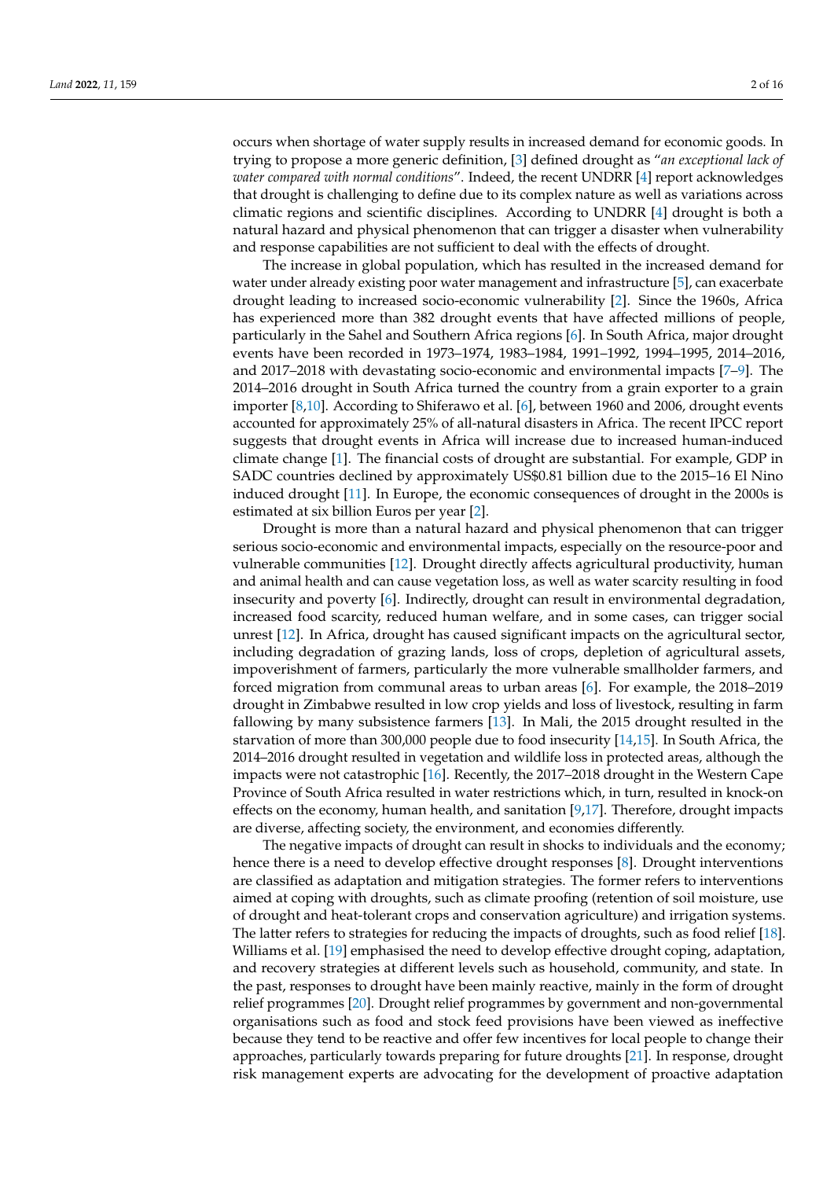occurs when shortage of water supply results in increased demand for economic goods. In trying to propose a more generic definition, [\[3\]](#page-13-2) defined drought as "*an exceptional lack of water compared with normal conditions*". Indeed, the recent UNDRR [\[4\]](#page-13-3) report acknowledges that drought is challenging to define due to its complex nature as well as variations across climatic regions and scientific disciplines. According to UNDRR [\[4\]](#page-13-3) drought is both a natural hazard and physical phenomenon that can trigger a disaster when vulnerability and response capabilities are not sufficient to deal with the effects of drought.

The increase in global population, which has resulted in the increased demand for water under already existing poor water management and infrastructure [\[5\]](#page-13-4), can exacerbate drought leading to increased socio-economic vulnerability [\[2\]](#page-13-1). Since the 1960s, Africa has experienced more than 382 drought events that have affected millions of people, particularly in the Sahel and Southern Africa regions [\[6\]](#page-13-5). In South Africa, major drought events have been recorded in 1973–1974, 1983–1984, 1991–1992, 1994–1995, 2014–2016, and 2017–2018 with devastating socio-economic and environmental impacts [\[7–](#page-13-6)[9\]](#page-13-7). The 2014–2016 drought in South Africa turned the country from a grain exporter to a grain importer [\[8](#page-13-8)[,10\]](#page-13-9). According to Shiferawo et al. [\[6\]](#page-13-5), between 1960 and 2006, drought events accounted for approximately 25% of all-natural disasters in Africa. The recent IPCC report suggests that drought events in Africa will increase due to increased human-induced climate change [\[1\]](#page-13-0). The financial costs of drought are substantial. For example, GDP in SADC countries declined by approximately US\$0.81 billion due to the 2015–16 El Nino induced drought [\[11\]](#page-13-10). In Europe, the economic consequences of drought in the 2000s is estimated at six billion Euros per year [\[2\]](#page-13-1).

Drought is more than a natural hazard and physical phenomenon that can trigger serious socio-economic and environmental impacts, especially on the resource-poor and vulnerable communities [\[12\]](#page-13-11). Drought directly affects agricultural productivity, human and animal health and can cause vegetation loss, as well as water scarcity resulting in food insecurity and poverty [\[6\]](#page-13-5). Indirectly, drought can result in environmental degradation, increased food scarcity, reduced human welfare, and in some cases, can trigger social unrest [\[12\]](#page-13-11). In Africa, drought has caused significant impacts on the agricultural sector, including degradation of grazing lands, loss of crops, depletion of agricultural assets, impoverishment of farmers, particularly the more vulnerable smallholder farmers, and forced migration from communal areas to urban areas [\[6\]](#page-13-5). For example, the 2018–2019 drought in Zimbabwe resulted in low crop yields and loss of livestock, resulting in farm fallowing by many subsistence farmers [\[13\]](#page-13-12). In Mali, the 2015 drought resulted in the starvation of more than 300,000 people due to food insecurity [\[14](#page-13-13)[,15\]](#page-13-14). In South Africa, the 2014–2016 drought resulted in vegetation and wildlife loss in protected areas, although the impacts were not catastrophic [\[16\]](#page-13-15). Recently, the 2017–2018 drought in the Western Cape Province of South Africa resulted in water restrictions which, in turn, resulted in knock-on effects on the economy, human health, and sanitation  $[9,17]$  $[9,17]$ . Therefore, drought impacts are diverse, affecting society, the environment, and economies differently.

The negative impacts of drought can result in shocks to individuals and the economy; hence there is a need to develop effective drought responses [\[8\]](#page-13-8). Drought interventions are classified as adaptation and mitigation strategies. The former refers to interventions aimed at coping with droughts, such as climate proofing (retention of soil moisture, use of drought and heat-tolerant crops and conservation agriculture) and irrigation systems. The latter refers to strategies for reducing the impacts of droughts, such as food relief [\[18\]](#page-13-17). Williams et al. [\[19\]](#page-13-18) emphasised the need to develop effective drought coping, adaptation, and recovery strategies at different levels such as household, community, and state. In the past, responses to drought have been mainly reactive, mainly in the form of drought relief programmes [\[20\]](#page-13-19). Drought relief programmes by government and non-governmental organisations such as food and stock feed provisions have been viewed as ineffective because they tend to be reactive and offer few incentives for local people to change their approaches, particularly towards preparing for future droughts [\[21\]](#page-13-20). In response, drought risk management experts are advocating for the development of proactive adaptation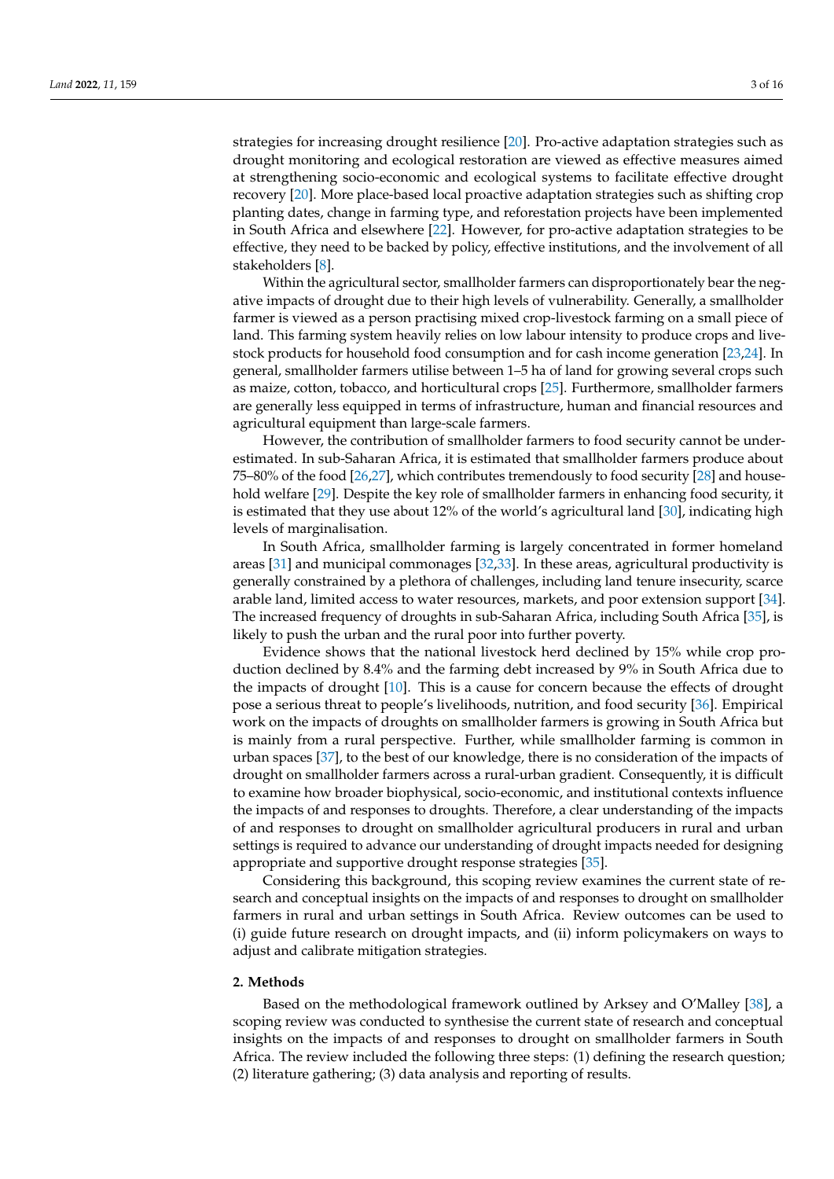strategies for increasing drought resilience [\[20\]](#page-13-19). Pro-active adaptation strategies such as drought monitoring and ecological restoration are viewed as effective measures aimed at strengthening socio-economic and ecological systems to facilitate effective drought recovery [\[20\]](#page-13-19). More place-based local proactive adaptation strategies such as shifting crop planting dates, change in farming type, and reforestation projects have been implemented in South Africa and elsewhere [\[22\]](#page-13-21). However, for pro-active adaptation strategies to be effective, they need to be backed by policy, effective institutions, and the involvement of all stakeholders [\[8\]](#page-13-8).

Within the agricultural sector, smallholder farmers can disproportionately bear the negative impacts of drought due to their high levels of vulnerability. Generally, a smallholder farmer is viewed as a person practising mixed crop-livestock farming on a small piece of land. This farming system heavily relies on low labour intensity to produce crops and livestock products for household food consumption and for cash income generation [\[23,](#page-13-22)[24\]](#page-13-23). In general, smallholder farmers utilise between 1–5 ha of land for growing several crops such as maize, cotton, tobacco, and horticultural crops [\[25\]](#page-13-24). Furthermore, smallholder farmers are generally less equipped in terms of infrastructure, human and financial resources and agricultural equipment than large-scale farmers.

However, the contribution of smallholder farmers to food security cannot be underestimated. In sub-Saharan Africa, it is estimated that smallholder farmers produce about 75–80% of the food [\[26](#page-13-25)[,27\]](#page-13-26), which contributes tremendously to food security [\[28\]](#page-13-27) and household welfare [\[29\]](#page-13-28). Despite the key role of smallholder farmers in enhancing food security, it is estimated that they use about 12% of the world's agricultural land [\[30\]](#page-14-0), indicating high levels of marginalisation.

In South Africa, smallholder farming is largely concentrated in former homeland areas [\[31\]](#page-14-1) and municipal commonages [\[32,](#page-14-2)[33\]](#page-14-3). In these areas, agricultural productivity is generally constrained by a plethora of challenges, including land tenure insecurity, scarce arable land, limited access to water resources, markets, and poor extension support [\[34\]](#page-14-4). The increased frequency of droughts in sub-Saharan Africa, including South Africa [\[35\]](#page-14-5), is likely to push the urban and the rural poor into further poverty.

Evidence shows that the national livestock herd declined by 15% while crop production declined by 8.4% and the farming debt increased by 9% in South Africa due to the impacts of drought [\[10\]](#page-13-9). This is a cause for concern because the effects of drought pose a serious threat to people's livelihoods, nutrition, and food security [\[36\]](#page-14-6). Empirical work on the impacts of droughts on smallholder farmers is growing in South Africa but is mainly from a rural perspective. Further, while smallholder farming is common in urban spaces [\[37\]](#page-14-7), to the best of our knowledge, there is no consideration of the impacts of drought on smallholder farmers across a rural-urban gradient. Consequently, it is difficult to examine how broader biophysical, socio-economic, and institutional contexts influence the impacts of and responses to droughts. Therefore, a clear understanding of the impacts of and responses to drought on smallholder agricultural producers in rural and urban settings is required to advance our understanding of drought impacts needed for designing appropriate and supportive drought response strategies [\[35\]](#page-14-5).

Considering this background, this scoping review examines the current state of research and conceptual insights on the impacts of and responses to drought on smallholder farmers in rural and urban settings in South Africa. Review outcomes can be used to (i) guide future research on drought impacts, and (ii) inform policymakers on ways to adjust and calibrate mitigation strategies.

#### **2. Methods**

Based on the methodological framework outlined by Arksey and O'Malley [\[38\]](#page-14-8), a scoping review was conducted to synthesise the current state of research and conceptual insights on the impacts of and responses to drought on smallholder farmers in South Africa. The review included the following three steps: (1) defining the research question; (2) literature gathering; (3) data analysis and reporting of results.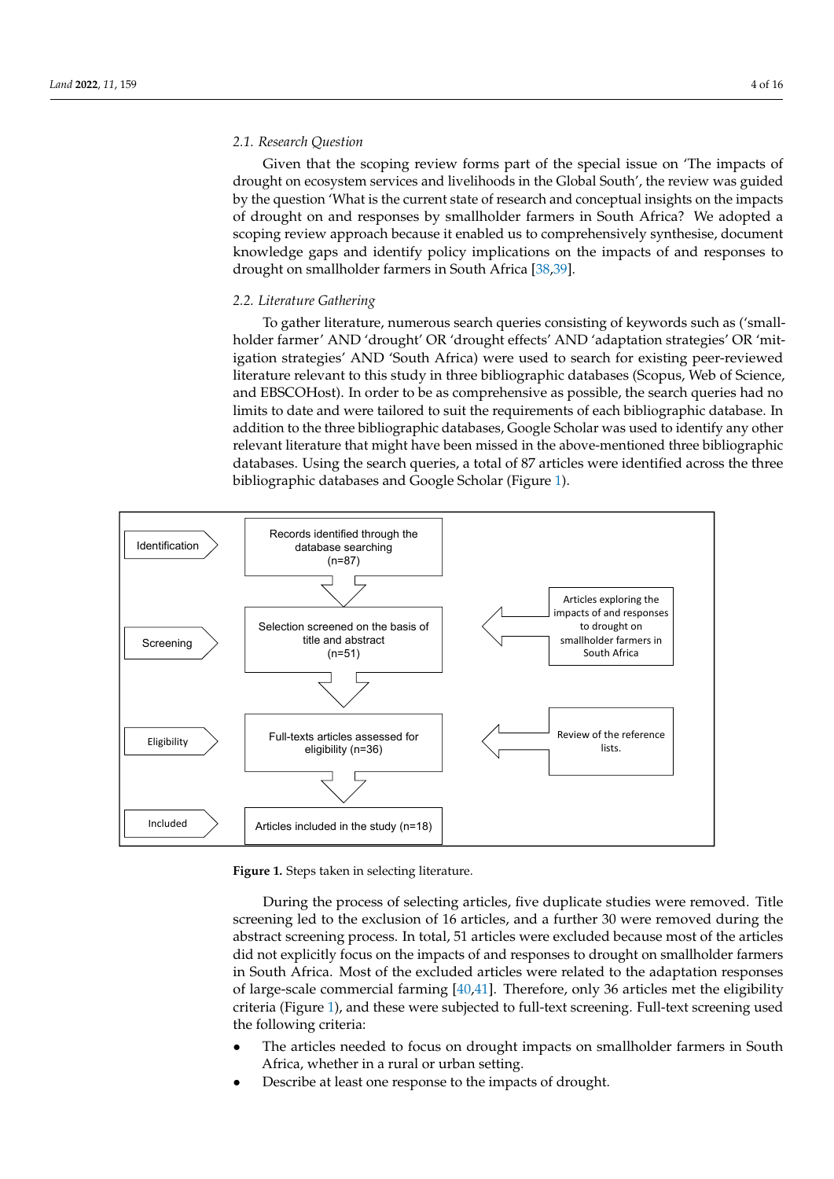# *2.1. Research Question 2.1. Research Question*

Given that the scoping review forms part of the special issue on 'The impacts of Given that the scoping review forms part of the special issue on 'The impacts of drought on ecosystem services and livelihoods in the Global South', the review was guided by the question 'What is the current state of research and conceptual insights on the impacts of drought on and responses by smallholder farmers in South Africa? We adopted a scoping review approach because it enabled us to comprehensively synthesise, document knowledge gaps and identify policy implications on the impacts of and responses to drought on smallholder farmers in So[uth](#page-14-8) [A](#page-14-9)frica [38,39].

literature gathering; (3) data analysis and reporting of results.

# *2.2. Literature Gathering 2.2. Literature Gathering*

To gather literature, numerous search queries consisting of keywords such as ('small-To gather literature, numerous search queries consisting of keywords such as ('smallholder farmer' AND 'drought' OR 'drought effects' AND 'adaptation strategies' OR 'mit-holder farmer' AND 'drought' OR 'drought effects' AND 'adaptation strategies' OR 'mitigation strategies' AND 'South Africa) were used to search for existing peer-reviewed igation strategies' AND 'South Africa) were used to search for existing peer-reviewed litliterature relevant to this study in three bibliographic databases (Scopus, Web of Science, erature relevant to this study in three bibliographic databases (Scopus, Web of Science, and EBSCOHost). In order to be as comprehensive as possible, the search queries had no and EBSCOHost). In order to be as comprehensive as possible, the search queries had no limits to date and were tailored to suit the requirements of each bibliographic database. In limits to date and were tailored to suit the requirements of each bibliographic database. addition to the three bibliographic databases, Google Scholar was used to identify any other relevant literature that might have been missed in the above-mentioned three bibliographic databases. Using the search queries, a total of 87 articles were identified across the three bibliographic databases and Google Scholar (Figure 1). the three bibliographic databases and Google Schol[ar](#page-3-0) (Figure 1).

<span id="page-3-0"></span>

**Figure 1.** Steps taken in selecting literature. **Figure 1.** Steps taken in selecting literature.

During the process of selecting articles, five duplicate studies were removed. Title During the process of selecting articles, five duplicate studies were removed. Title screening led to the exclusion of 16 articles, and a further 30 were removed during the screening led to the exclusion of 16 articles, and a further 30 were removed during the abstract screening process. In total, 51 articles were excluded because most of the articles abstract screening process. In total, 51 articles were excluded because most of the articles did not explicitly focus on the impacts of and responses to drought on smallholder farmers did not explicitly focus on the impacts of and responses to drought on smallholder farmers in South Africa. Most of the excluded articles were related to the adaptation responses of large-scale commercial farming [\[40](#page-14-10)[,41\]](#page-14-11). Therefore, only 36 articles met the eligibility criteria (Figure [1\)](#page-3-0), and these were subjected to full-text screening. Full-text screening used the following criteria:

- The articles needed to focus on drought impacts on smallholder farmers in South Africa, whether in a rural or urban setting.
- Describe at least one response to the impacts of drought.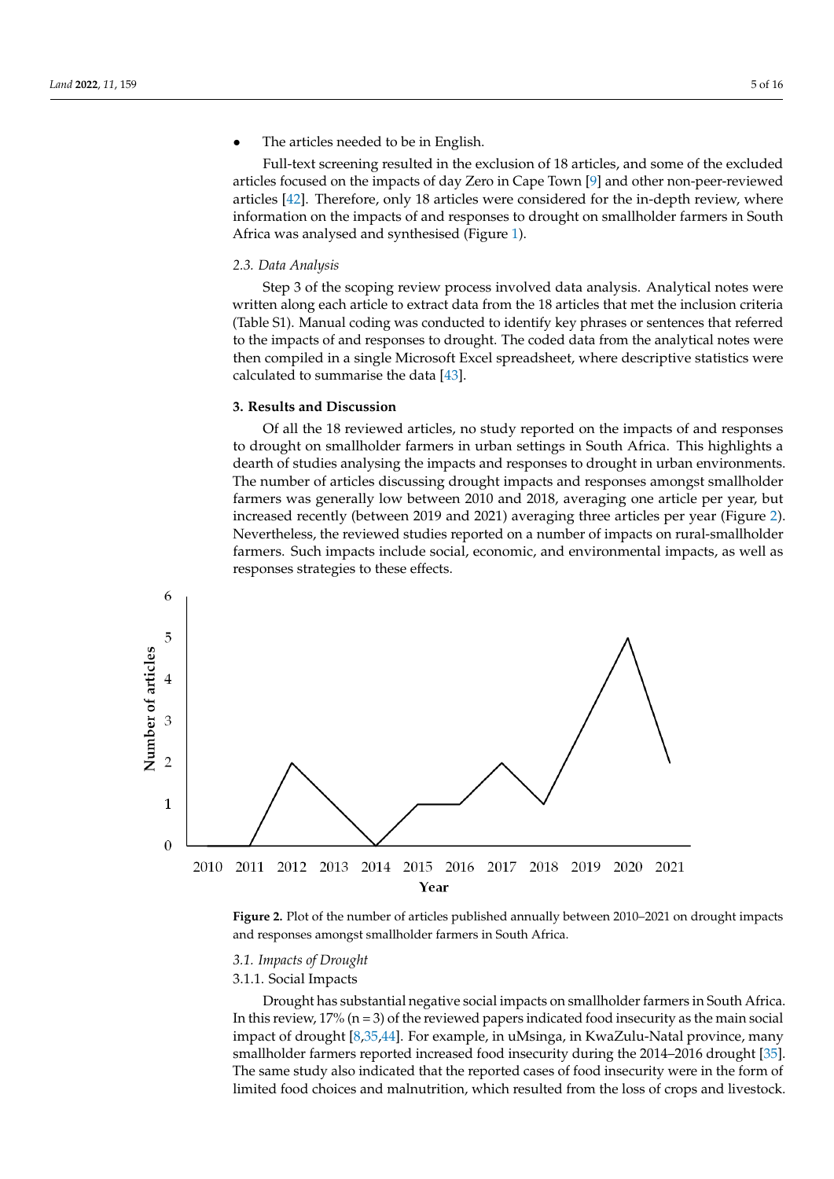• The articles needed to be in English.

• Describe at least one response to the impacts of drought.

Full-text screening resulted in the exclusion of 18 articles, and some of the excluded articles focused on the impacts of day Zero in Cape Town [\[9\]](#page-13-7) and other non-peer-reviewed articles [\[42\]](#page-14-12). Therefore, only 18 articles were considered for the in-depth review, where information on the impacts of and responses to drought on smallholder farmers in South Africa was analysed and synthesised (Figure [1\)](#page-3-0). articles focused on the impact of day  $Z$  and  $Z$  and  $\alpha$  in  $\alpha$  in  $\alpha$  and  $\alpha$  in  $\alpha$ Fun-text screening resulted in the exclusion of to articles, and some of the excluded

# 2.3. Data Analysis **3 of the scoping review process in vertex** were analytical notes were were analytical notes were were analytical notes were analytical notes were analytical notes were analytical notes were analytical n

Step 3 of the scoping review process involved data analysis. Analytical notes were written along each article to extract data from the 18 articles that met the inclusion criteria (Table S1). Manual coding was conducted to identify key phrases or sentences that referred to the impacts of and responses to drought. The coded data from the analytical notes were then compiled in a single Microsoft Excel spreadsheet, where descriptive statistics were calculated to summarise the data [\[43\]](#page-14-13).

# **3. Results and Discussion**

Of all the 18 reviewed articles, no study reported on the impacts of and responses to drought on smallholder farmers in urban settings in South Africa. This highlights a dearth of studies analysing the impacts and responses to drought in urban environments. The number of articles discussing drought impacts and responses amongst smallholder farmers was generally low between 2010 and 2018, averaging one article per year, but increased recently (between 2019 and 2021) averaging three articles per year (Figure 2).<br>Nevertheless, the reviewed studies reported on a number of impacts on rural-smallholder Nevertheless, the reviewed studies reported on a number of impacts on rural-smallholder farmers. Such impacts include social, economic, and environmental impacts, as well as responses strategies to these effects.

<span id="page-4-0"></span>

**Figure 2.** Plot of the number of articles published annually between 2010–2021 on drought impacts **Figure 2.** Plot of the number of articles published annually between 2010–2021 on drought impacts and responses amongst smallholder farmers in South Africa. and responses amongst smallholder farmers in South Africa.

#### *3.1. Impacts of Drought*

#### 3.1.1. Social Impacts

Drought has substantial negative social impacts on smallholder farmers in South Africa. In this review,  $17\%$  (n = 3) of the reviewed papers indicated food insecurity as the main social impact of drought [\[8,](#page-13-8)[35](#page-14-5)[,44\]](#page-14-14). For example, in uMsinga, in KwaZulu-Natal province, many smallholder farmers reported increased food insecurity during the 2014–2016 drought [\[35\]](#page-14-5). The same study also indicated that the reported cases of food insecurity were in the form of limited food choices and malnutrition, which resulted from the loss of crops and livestock.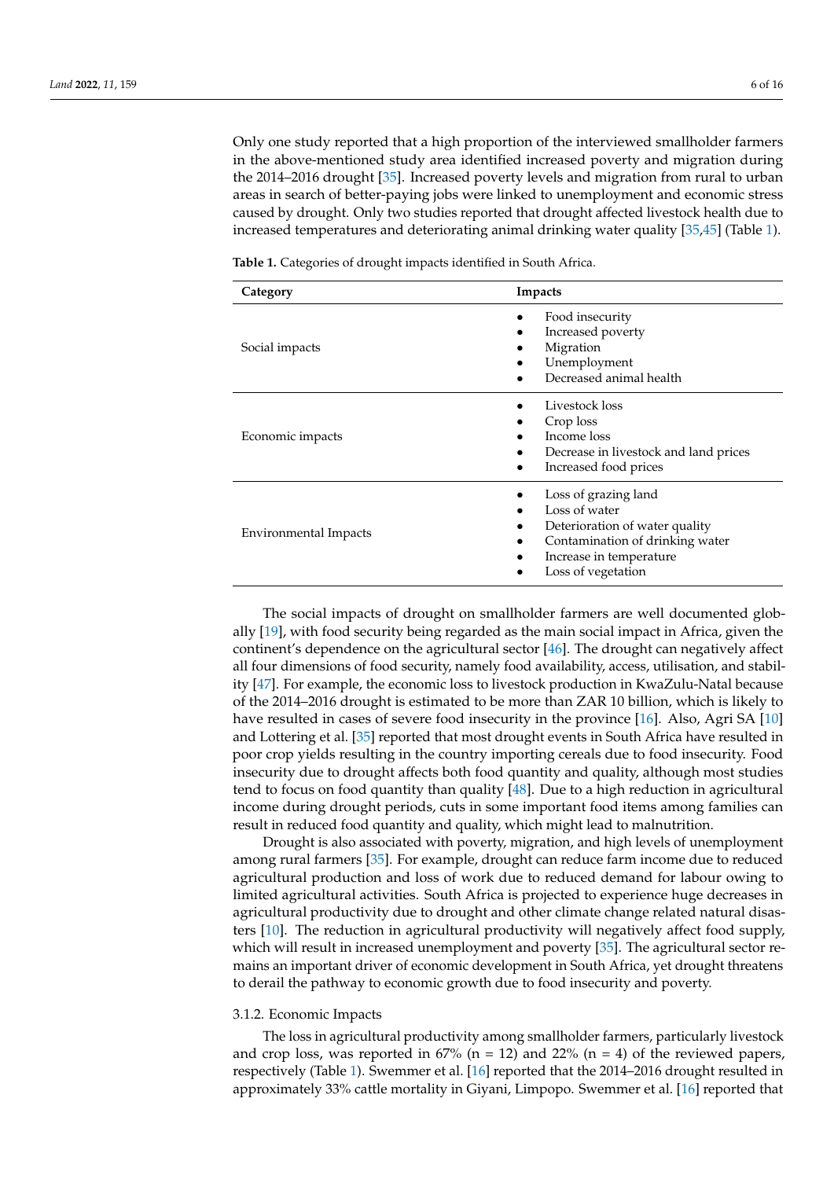Only one study reported that a high proportion of the interviewed smallholder farmers in the above-mentioned study area identified increased poverty and migration during the 2014–2016 drought [\[35\]](#page-14-5). Increased poverty levels and migration from rural to urban areas in search of better-paying jobs were linked to unemployment and economic stress caused by drought. Only two studies reported that drought affected livestock health due to increased temperatures and deteriorating animal drinking water quality [\[35](#page-14-5)[,45\]](#page-14-15) (Table [1\)](#page-5-0).

<span id="page-5-0"></span>**Table 1.** Categories of drought impacts identified in South Africa.

| Category              | Impacts                                                                                                                                                     |
|-----------------------|-------------------------------------------------------------------------------------------------------------------------------------------------------------|
| Social impacts        | Food insecurity<br>Increased poverty<br>Migration<br>Unemployment<br>Decreased animal health                                                                |
| Economic impacts      | Livestock loss<br>Crop loss<br>Income loss<br>Decrease in livestock and land prices<br>Increased food prices                                                |
| Environmental Impacts | Loss of grazing land<br>Loss of water<br>Deterioration of water quality<br>Contamination of drinking water<br>Increase in temperature<br>Loss of vegetation |

The social impacts of drought on smallholder farmers are well documented globally [\[19\]](#page-13-18), with food security being regarded as the main social impact in Africa, given the continent's dependence on the agricultural sector [\[46\]](#page-14-16). The drought can negatively affect all four dimensions of food security, namely food availability, access, utilisation, and stability [\[47\]](#page-14-17). For example, the economic loss to livestock production in KwaZulu-Natal because of the 2014–2016 drought is estimated to be more than ZAR 10 billion, which is likely to have resulted in cases of severe food insecurity in the province [\[16\]](#page-13-15). Also, Agri SA [\[10\]](#page-13-9) and Lottering et al. [\[35\]](#page-14-5) reported that most drought events in South Africa have resulted in poor crop yields resulting in the country importing cereals due to food insecurity. Food insecurity due to drought affects both food quantity and quality, although most studies tend to focus on food quantity than quality [\[48\]](#page-14-18). Due to a high reduction in agricultural income during drought periods, cuts in some important food items among families can result in reduced food quantity and quality, which might lead to malnutrition.

Drought is also associated with poverty, migration, and high levels of unemployment among rural farmers [\[35\]](#page-14-5). For example, drought can reduce farm income due to reduced agricultural production and loss of work due to reduced demand for labour owing to limited agricultural activities. South Africa is projected to experience huge decreases in agricultural productivity due to drought and other climate change related natural disasters [\[10\]](#page-13-9). The reduction in agricultural productivity will negatively affect food supply, which will result in increased unemployment and poverty [\[35\]](#page-14-5). The agricultural sector remains an important driver of economic development in South Africa, yet drought threatens to derail the pathway to economic growth due to food insecurity and poverty.

#### 3.1.2. Economic Impacts

The loss in agricultural productivity among smallholder farmers, particularly livestock and crop loss, was reported in  $67\%$  (n = 12) and 22% (n = 4) of the reviewed papers, respectively (Table [1\)](#page-5-0). Swemmer et al. [\[16\]](#page-13-15) reported that the 2014–2016 drought resulted in approximately 33% cattle mortality in Giyani, Limpopo. Swemmer et al. [\[16\]](#page-13-15) reported that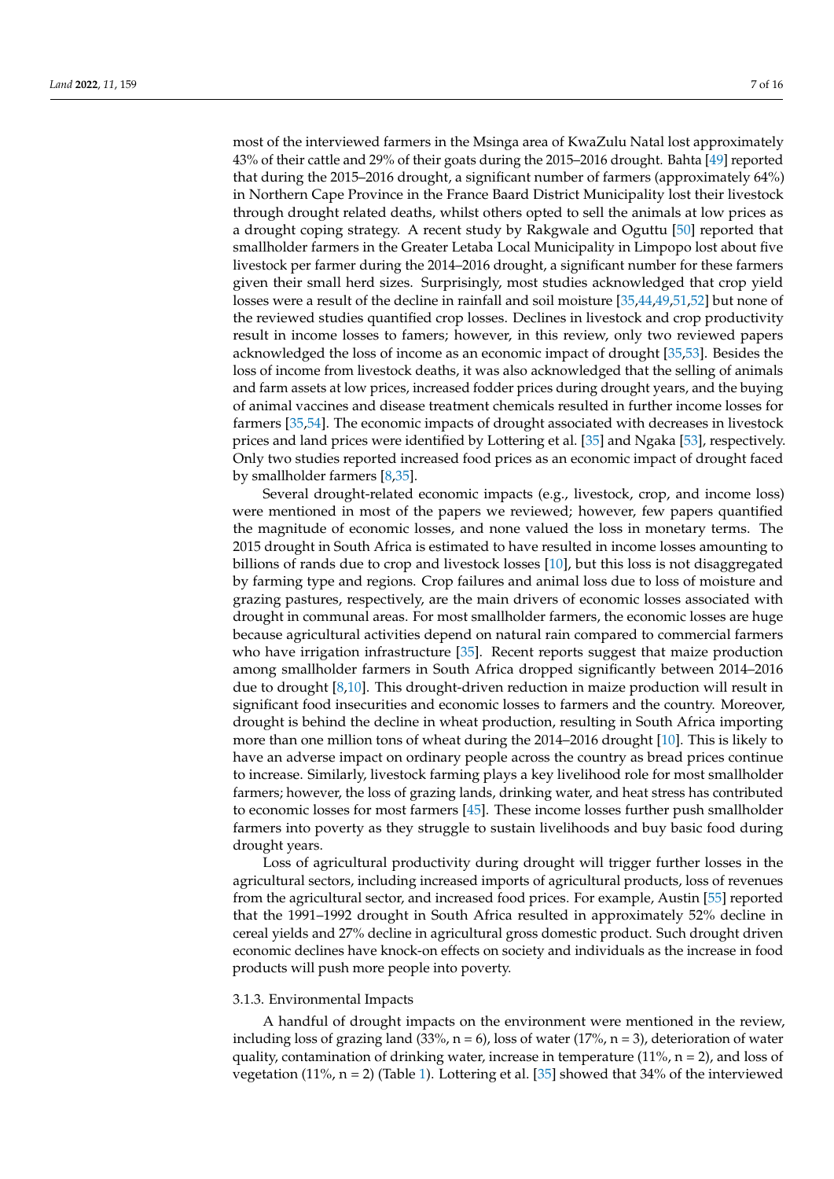most of the interviewed farmers in the Msinga area of KwaZulu Natal lost approximately 43% of their cattle and 29% of their goats during the 2015–2016 drought. Bahta [\[49\]](#page-14-19) reported that during the 2015–2016 drought, a significant number of farmers (approximately 64%) in Northern Cape Province in the France Baard District Municipality lost their livestock through drought related deaths, whilst others opted to sell the animals at low prices as a drought coping strategy. A recent study by Rakgwale and Oguttu [\[50\]](#page-14-20) reported that smallholder farmers in the Greater Letaba Local Municipality in Limpopo lost about five livestock per farmer during the 2014–2016 drought, a significant number for these farmers given their small herd sizes. Surprisingly, most studies acknowledged that crop yield losses were a result of the decline in rainfall and soil moisture [\[35](#page-14-5)[,44,](#page-14-14)[49,](#page-14-19)[51,](#page-14-21)[52\]](#page-14-22) but none of the reviewed studies quantified crop losses. Declines in livestock and crop productivity result in income losses to famers; however, in this review, only two reviewed papers acknowledged the loss of income as an economic impact of drought [\[35,](#page-14-5)[53\]](#page-14-23). Besides the loss of income from livestock deaths, it was also acknowledged that the selling of animals and farm assets at low prices, increased fodder prices during drought years, and the buying of animal vaccines and disease treatment chemicals resulted in further income losses for farmers [\[35](#page-14-5)[,54\]](#page-14-24). The economic impacts of drought associated with decreases in livestock prices and land prices were identified by Lottering et al. [\[35\]](#page-14-5) and Ngaka [\[53\]](#page-14-23), respectively. Only two studies reported increased food prices as an economic impact of drought faced by smallholder farmers [\[8](#page-13-8)[,35\]](#page-14-5).

Several drought-related economic impacts (e.g., livestock, crop, and income loss) were mentioned in most of the papers we reviewed; however, few papers quantified the magnitude of economic losses, and none valued the loss in monetary terms. The 2015 drought in South Africa is estimated to have resulted in income losses amounting to billions of rands due to crop and livestock losses [\[10\]](#page-13-9), but this loss is not disaggregated by farming type and regions. Crop failures and animal loss due to loss of moisture and grazing pastures, respectively, are the main drivers of economic losses associated with drought in communal areas. For most smallholder farmers, the economic losses are huge because agricultural activities depend on natural rain compared to commercial farmers who have irrigation infrastructure [\[35\]](#page-14-5). Recent reports suggest that maize production among smallholder farmers in South Africa dropped significantly between 2014–2016 due to drought [\[8,](#page-13-8)[10\]](#page-13-9). This drought-driven reduction in maize production will result in significant food insecurities and economic losses to farmers and the country. Moreover, drought is behind the decline in wheat production, resulting in South Africa importing more than one million tons of wheat during the 2014–2016 drought [\[10\]](#page-13-9). This is likely to have an adverse impact on ordinary people across the country as bread prices continue to increase. Similarly, livestock farming plays a key livelihood role for most smallholder farmers; however, the loss of grazing lands, drinking water, and heat stress has contributed to economic losses for most farmers [\[45\]](#page-14-15). These income losses further push smallholder farmers into poverty as they struggle to sustain livelihoods and buy basic food during drought years.

Loss of agricultural productivity during drought will trigger further losses in the agricultural sectors, including increased imports of agricultural products, loss of revenues from the agricultural sector, and increased food prices. For example, Austin [\[55\]](#page-14-25) reported that the 1991–1992 drought in South Africa resulted in approximately 52% decline in cereal yields and 27% decline in agricultural gross domestic product. Such drought driven economic declines have knock-on effects on society and individuals as the increase in food products will push more people into poverty.

#### 3.1.3. Environmental Impacts

A handful of drought impacts on the environment were mentioned in the review, including loss of grazing land  $(33\% , n = 6)$ , loss of water  $(17\% , n = 3)$ , deterioration of water quality, contamination of drinking water, increase in temperature  $(11\%$ , n = 2), and loss of vegetation (11%,  $n = 2$ ) (Table [1\)](#page-5-0). Lottering et al. [\[35\]](#page-14-5) showed that 34% of the interviewed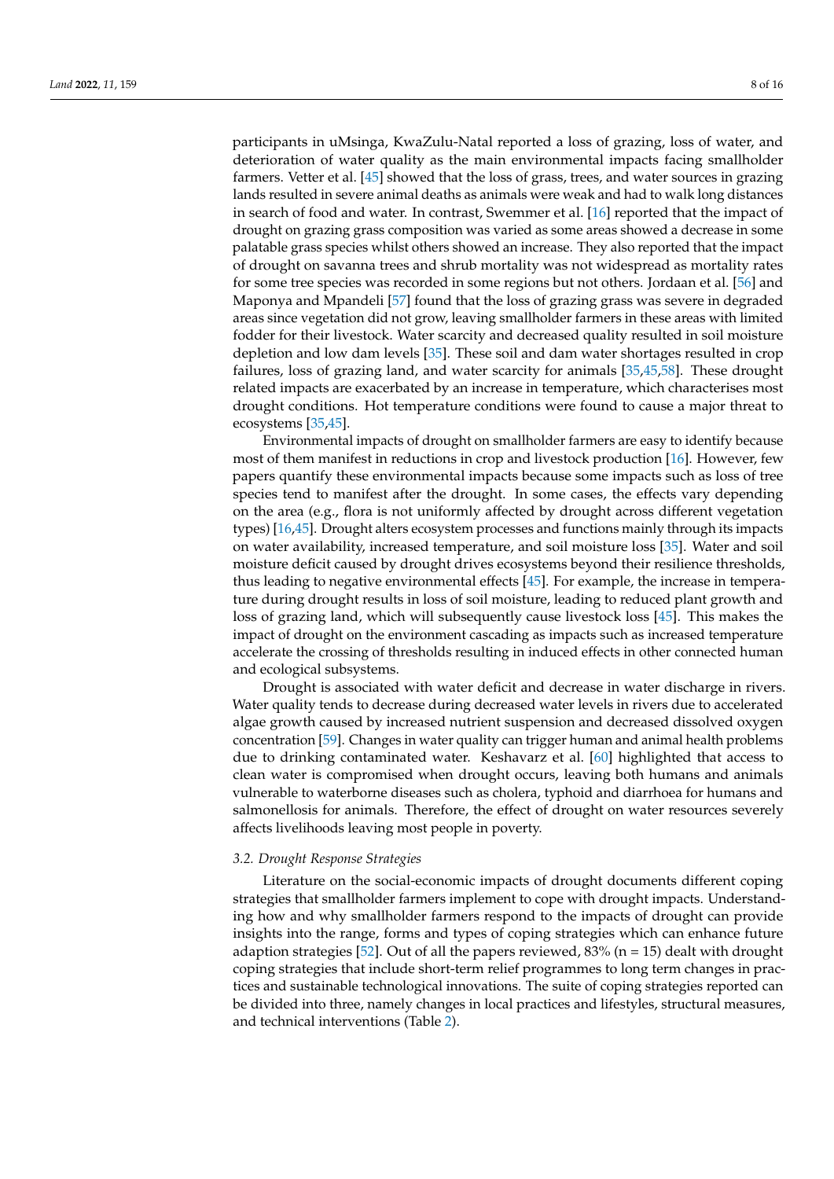participants in uMsinga, KwaZulu-Natal reported a loss of grazing, loss of water, and deterioration of water quality as the main environmental impacts facing smallholder farmers. Vetter et al. [\[45\]](#page-14-15) showed that the loss of grass, trees, and water sources in grazing lands resulted in severe animal deaths as animals were weak and had to walk long distances in search of food and water. In contrast, Swemmer et al. [\[16\]](#page-13-15) reported that the impact of drought on grazing grass composition was varied as some areas showed a decrease in some palatable grass species whilst others showed an increase. They also reported that the impact of drought on savanna trees and shrub mortality was not widespread as mortality rates for some tree species was recorded in some regions but not others. Jordaan et al. [\[56\]](#page-14-26) and Maponya and Mpandeli [\[57\]](#page-14-27) found that the loss of grazing grass was severe in degraded areas since vegetation did not grow, leaving smallholder farmers in these areas with limited fodder for their livestock. Water scarcity and decreased quality resulted in soil moisture depletion and low dam levels [\[35\]](#page-14-5). These soil and dam water shortages resulted in crop failures, loss of grazing land, and water scarcity for animals [\[35,](#page-14-5)[45](#page-14-15)[,58\]](#page-14-28). These drought related impacts are exacerbated by an increase in temperature, which characterises most drought conditions. Hot temperature conditions were found to cause a major threat to ecosystems [\[35](#page-14-5)[,45\]](#page-14-15).

Environmental impacts of drought on smallholder farmers are easy to identify because most of them manifest in reductions in crop and livestock production [\[16\]](#page-13-15). However, few papers quantify these environmental impacts because some impacts such as loss of tree species tend to manifest after the drought. In some cases, the effects vary depending on the area (e.g., flora is not uniformly affected by drought across different vegetation types) [\[16,](#page-13-15)[45\]](#page-14-15). Drought alters ecosystem processes and functions mainly through its impacts on water availability, increased temperature, and soil moisture loss [\[35\]](#page-14-5). Water and soil moisture deficit caused by drought drives ecosystems beyond their resilience thresholds, thus leading to negative environmental effects [\[45\]](#page-14-15). For example, the increase in temperature during drought results in loss of soil moisture, leading to reduced plant growth and loss of grazing land, which will subsequently cause livestock loss [\[45\]](#page-14-15). This makes the impact of drought on the environment cascading as impacts such as increased temperature accelerate the crossing of thresholds resulting in induced effects in other connected human and ecological subsystems.

Drought is associated with water deficit and decrease in water discharge in rivers. Water quality tends to decrease during decreased water levels in rivers due to accelerated algae growth caused by increased nutrient suspension and decreased dissolved oxygen concentration [\[59\]](#page-14-29). Changes in water quality can trigger human and animal health problems due to drinking contaminated water. Keshavarz et al. [\[60\]](#page-14-30) highlighted that access to clean water is compromised when drought occurs, leaving both humans and animals vulnerable to waterborne diseases such as cholera, typhoid and diarrhoea for humans and salmonellosis for animals. Therefore, the effect of drought on water resources severely affects livelihoods leaving most people in poverty.

#### *3.2. Drought Response Strategies*

Literature on the social-economic impacts of drought documents different coping strategies that smallholder farmers implement to cope with drought impacts. Understanding how and why smallholder farmers respond to the impacts of drought can provide insights into the range, forms and types of coping strategies which can enhance future adaption strategies [\[52\]](#page-14-22). Out of all the papers reviewed,  $83\%$  (n = 15) dealt with drought coping strategies that include short-term relief programmes to long term changes in practices and sustainable technological innovations. The suite of coping strategies reported can be divided into three, namely changes in local practices and lifestyles, structural measures, and technical interventions (Table [2\)](#page-8-0).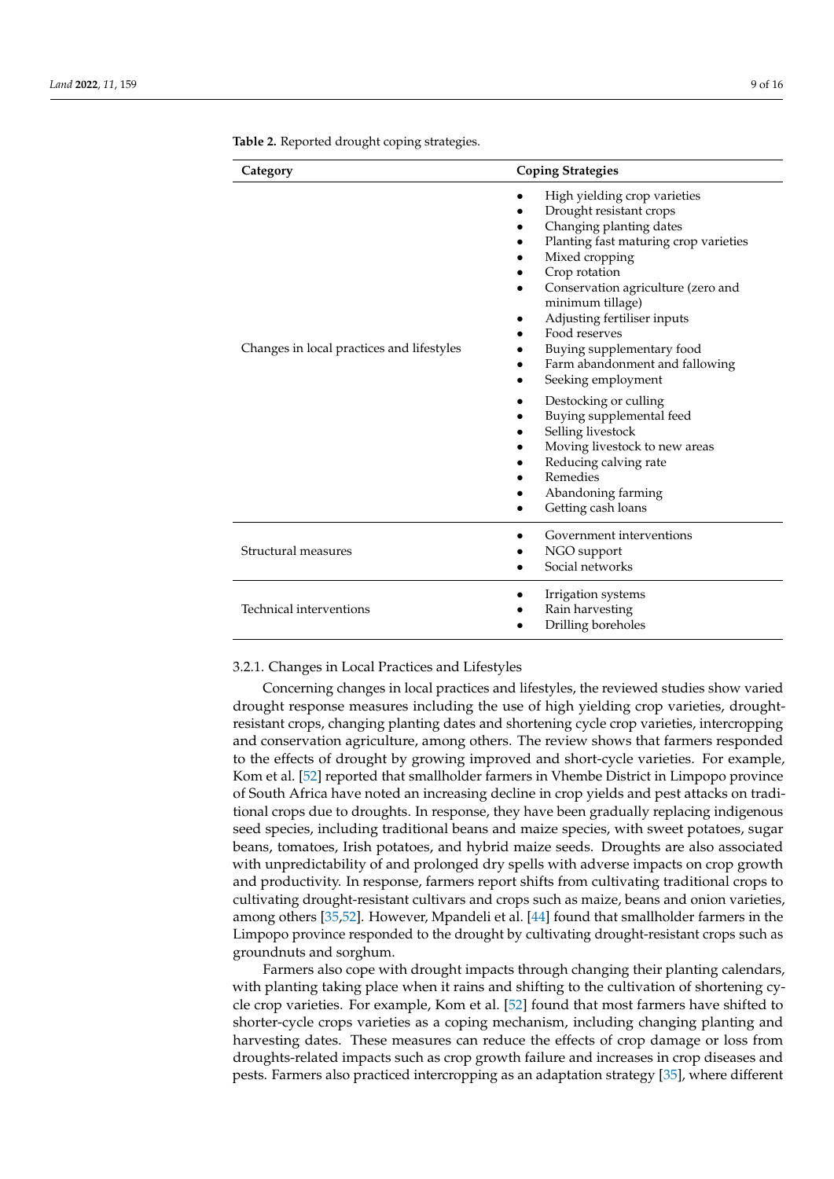| Category                                  | <b>Coping Strategies</b>                                                                                                                                                                                                                                                                                                                                                                                                                                                                                                                                  |
|-------------------------------------------|-----------------------------------------------------------------------------------------------------------------------------------------------------------------------------------------------------------------------------------------------------------------------------------------------------------------------------------------------------------------------------------------------------------------------------------------------------------------------------------------------------------------------------------------------------------|
| Changes in local practices and lifestyles | High yielding crop varieties<br>Drought resistant crops<br>Changing planting dates<br>Planting fast maturing crop varieties<br>Mixed cropping<br>Crop rotation<br>Conservation agriculture (zero and<br>minimum tillage)<br>Adjusting fertiliser inputs<br>Food reserves<br>Buying supplementary food<br>Farm abandonment and fallowing<br>Seeking employment<br>Destocking or culling<br>Buying supplemental feed<br>Selling livestock<br>Moving livestock to new areas<br>Reducing calving rate<br>Remedies<br>Abandoning farming<br>Getting cash loans |
| Structural measures                       | Government interventions<br>NGO support<br>Social networks                                                                                                                                                                                                                                                                                                                                                                                                                                                                                                |
| Technical interventions                   | Irrigation systems<br>Rain harvesting<br>Drilling boreholes                                                                                                                                                                                                                                                                                                                                                                                                                                                                                               |

<span id="page-8-0"></span>**Table 2.** Reported drought coping strategies.

## 3.2.1. Changes in Local Practices and Lifestyles

Concerning changes in local practices and lifestyles, the reviewed studies show varied drought response measures including the use of high yielding crop varieties, droughtresistant crops, changing planting dates and shortening cycle crop varieties, intercropping and conservation agriculture, among others. The review shows that farmers responded to the effects of drought by growing improved and short-cycle varieties. For example, Kom et al. [\[52\]](#page-14-22) reported that smallholder farmers in Vhembe District in Limpopo province of South Africa have noted an increasing decline in crop yields and pest attacks on traditional crops due to droughts. In response, they have been gradually replacing indigenous seed species, including traditional beans and maize species, with sweet potatoes, sugar beans, tomatoes, Irish potatoes, and hybrid maize seeds. Droughts are also associated with unpredictability of and prolonged dry spells with adverse impacts on crop growth and productivity. In response, farmers report shifts from cultivating traditional crops to cultivating drought-resistant cultivars and crops such as maize, beans and onion varieties, among others [\[35](#page-14-5)[,52\]](#page-14-22). However, Mpandeli et al. [\[44\]](#page-14-14) found that smallholder farmers in the Limpopo province responded to the drought by cultivating drought-resistant crops such as groundnuts and sorghum.

Farmers also cope with drought impacts through changing their planting calendars, with planting taking place when it rains and shifting to the cultivation of shortening cycle crop varieties. For example, Kom et al. [\[52\]](#page-14-22) found that most farmers have shifted to shorter-cycle crops varieties as a coping mechanism, including changing planting and harvesting dates. These measures can reduce the effects of crop damage or loss from droughts-related impacts such as crop growth failure and increases in crop diseases and pests. Farmers also practiced intercropping as an adaptation strategy [\[35\]](#page-14-5), where different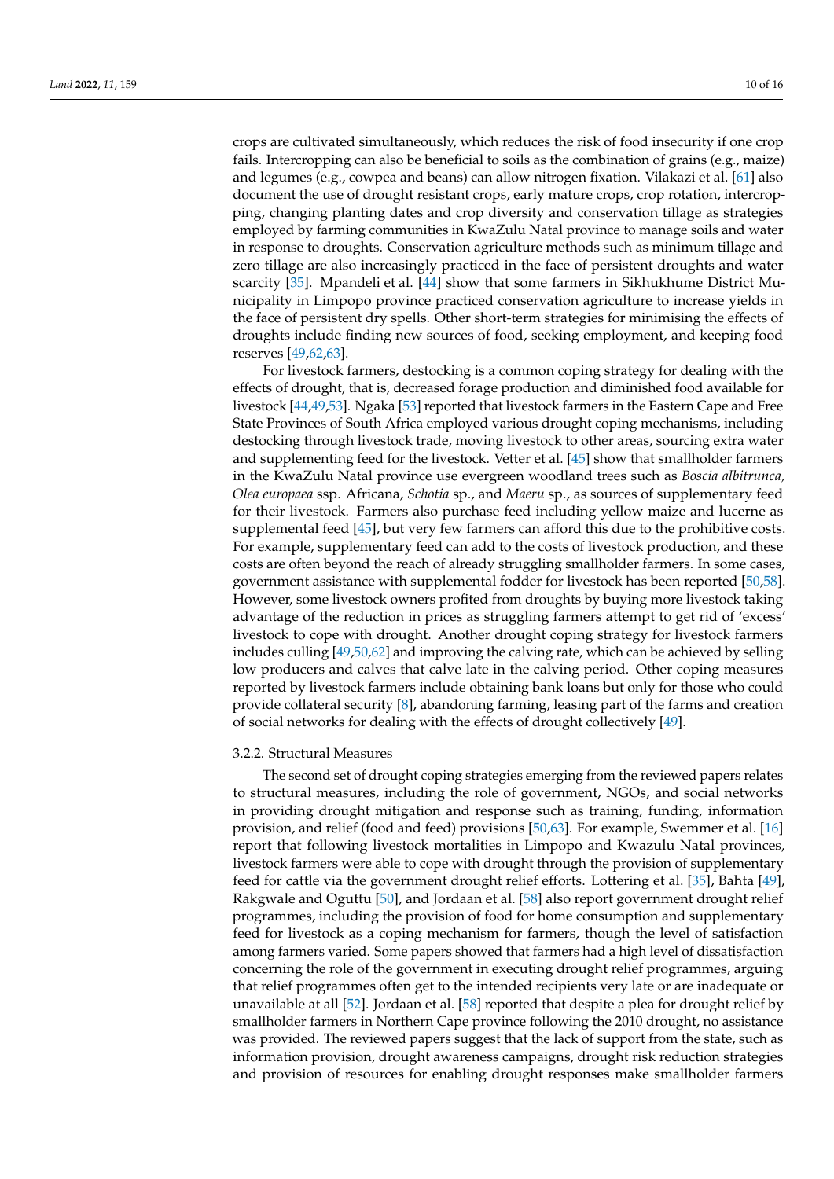crops are cultivated simultaneously, which reduces the risk of food insecurity if one crop fails. Intercropping can also be beneficial to soils as the combination of grains (e.g., maize) and legumes (e.g., cowpea and beans) can allow nitrogen fixation. Vilakazi et al. [\[61\]](#page-15-0) also document the use of drought resistant crops, early mature crops, crop rotation, intercropping, changing planting dates and crop diversity and conservation tillage as strategies employed by farming communities in KwaZulu Natal province to manage soils and water in response to droughts. Conservation agriculture methods such as minimum tillage and zero tillage are also increasingly practiced in the face of persistent droughts and water scarcity [\[35\]](#page-14-5). Mpandeli et al. [\[44\]](#page-14-14) show that some farmers in Sikhukhume District Municipality in Limpopo province practiced conservation agriculture to increase yields in the face of persistent dry spells. Other short-term strategies for minimising the effects of droughts include finding new sources of food, seeking employment, and keeping food reserves [\[49,](#page-14-19)[62,](#page-15-1)[63\]](#page-15-2).

For livestock farmers, destocking is a common coping strategy for dealing with the effects of drought, that is, decreased forage production and diminished food available for livestock [\[44](#page-14-14)[,49](#page-14-19)[,53\]](#page-14-23). Ngaka [\[53\]](#page-14-23) reported that livestock farmers in the Eastern Cape and Free State Provinces of South Africa employed various drought coping mechanisms, including destocking through livestock trade, moving livestock to other areas, sourcing extra water and supplementing feed for the livestock. Vetter et al. [\[45\]](#page-14-15) show that smallholder farmers in the KwaZulu Natal province use evergreen woodland trees such as *Boscia albitrunca, Olea europaea* ssp. Africana, *Schotia* sp., and *Maeru* sp., as sources of supplementary feed for their livestock. Farmers also purchase feed including yellow maize and lucerne as supplemental feed [\[45\]](#page-14-15), but very few farmers can afford this due to the prohibitive costs. For example, supplementary feed can add to the costs of livestock production, and these costs are often beyond the reach of already struggling smallholder farmers. In some cases, government assistance with supplemental fodder for livestock has been reported [\[50,](#page-14-20)[58\]](#page-14-28). However, some livestock owners profited from droughts by buying more livestock taking advantage of the reduction in prices as struggling farmers attempt to get rid of 'excess' livestock to cope with drought. Another drought coping strategy for livestock farmers includes culling [\[49](#page-14-19)[,50,](#page-14-20)[62\]](#page-15-1) and improving the calving rate, which can be achieved by selling low producers and calves that calve late in the calving period. Other coping measures reported by livestock farmers include obtaining bank loans but only for those who could provide collateral security [\[8\]](#page-13-8), abandoning farming, leasing part of the farms and creation of social networks for dealing with the effects of drought collectively [\[49\]](#page-14-19).

#### 3.2.2. Structural Measures

The second set of drought coping strategies emerging from the reviewed papers relates to structural measures, including the role of government, NGOs, and social networks in providing drought mitigation and response such as training, funding, information provision, and relief (food and feed) provisions [\[50,](#page-14-20)[63\]](#page-15-2). For example, Swemmer et al. [\[16\]](#page-13-15) report that following livestock mortalities in Limpopo and Kwazulu Natal provinces, livestock farmers were able to cope with drought through the provision of supplementary feed for cattle via the government drought relief efforts. Lottering et al. [\[35\]](#page-14-5), Bahta [\[49\]](#page-14-19), Rakgwale and Oguttu [\[50\]](#page-14-20), and Jordaan et al. [\[58\]](#page-14-28) also report government drought relief programmes, including the provision of food for home consumption and supplementary feed for livestock as a coping mechanism for farmers, though the level of satisfaction among farmers varied. Some papers showed that farmers had a high level of dissatisfaction concerning the role of the government in executing drought relief programmes, arguing that relief programmes often get to the intended recipients very late or are inadequate or unavailable at all [\[52\]](#page-14-22). Jordaan et al. [\[58\]](#page-14-28) reported that despite a plea for drought relief by smallholder farmers in Northern Cape province following the 2010 drought, no assistance was provided. The reviewed papers suggest that the lack of support from the state, such as information provision, drought awareness campaigns, drought risk reduction strategies and provision of resources for enabling drought responses make smallholder farmers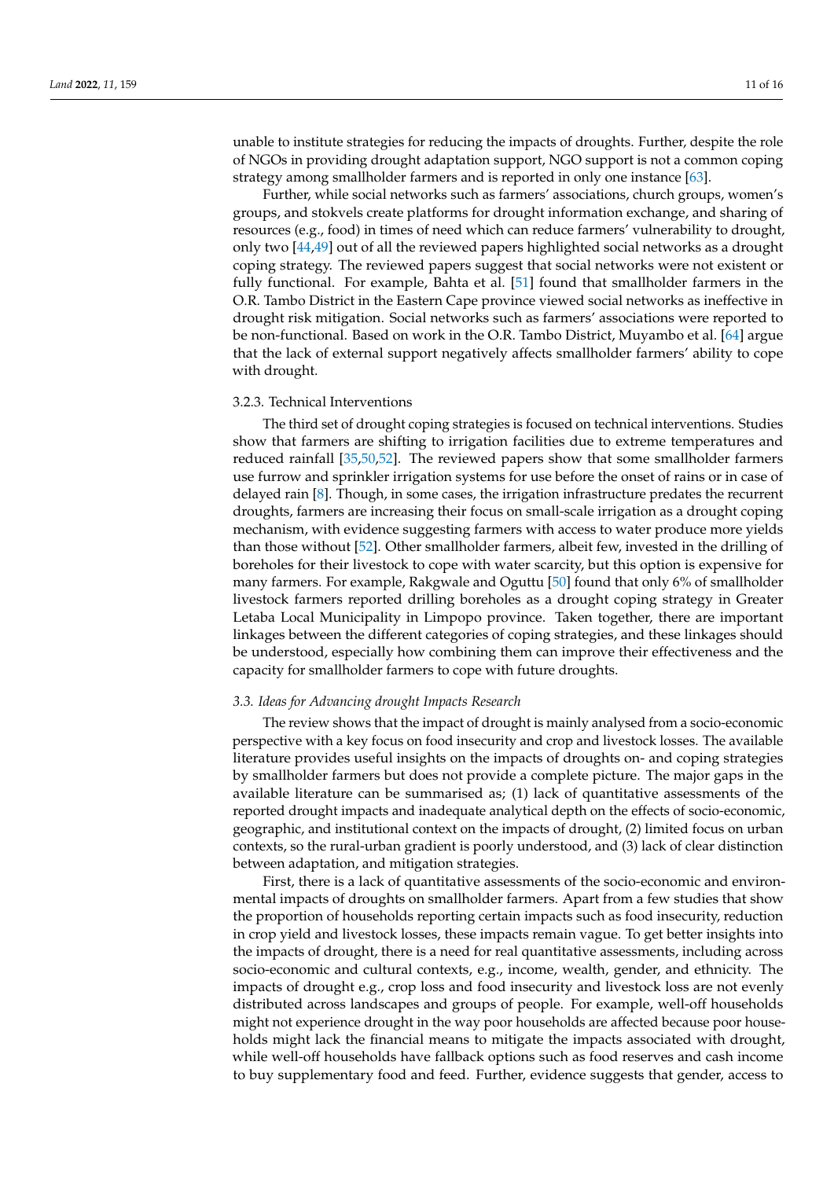unable to institute strategies for reducing the impacts of droughts. Further, despite the role of NGOs in providing drought adaptation support, NGO support is not a common coping strategy among smallholder farmers and is reported in only one instance [\[63\]](#page-15-2).

Further, while social networks such as farmers' associations, church groups, women's groups, and stokvels create platforms for drought information exchange, and sharing of resources (e.g., food) in times of need which can reduce farmers' vulnerability to drought, only two [\[44,](#page-14-14)[49\]](#page-14-19) out of all the reviewed papers highlighted social networks as a drought coping strategy. The reviewed papers suggest that social networks were not existent or fully functional. For example, Bahta et al. [\[51\]](#page-14-21) found that smallholder farmers in the O.R. Tambo District in the Eastern Cape province viewed social networks as ineffective in drought risk mitigation. Social networks such as farmers' associations were reported to be non-functional. Based on work in the O.R. Tambo District, Muyambo et al. [\[64\]](#page-15-3) argue that the lack of external support negatively affects smallholder farmers' ability to cope with drought.

#### 3.2.3. Technical Interventions

The third set of drought coping strategies is focused on technical interventions. Studies show that farmers are shifting to irrigation facilities due to extreme temperatures and reduced rainfall [\[35](#page-14-5)[,50,](#page-14-20)[52\]](#page-14-22). The reviewed papers show that some smallholder farmers use furrow and sprinkler irrigation systems for use before the onset of rains or in case of delayed rain [\[8\]](#page-13-8). Though, in some cases, the irrigation infrastructure predates the recurrent droughts, farmers are increasing their focus on small-scale irrigation as a drought coping mechanism, with evidence suggesting farmers with access to water produce more yields than those without [\[52\]](#page-14-22). Other smallholder farmers, albeit few, invested in the drilling of boreholes for their livestock to cope with water scarcity, but this option is expensive for many farmers. For example, Rakgwale and Oguttu [\[50\]](#page-14-20) found that only 6% of smallholder livestock farmers reported drilling boreholes as a drought coping strategy in Greater Letaba Local Municipality in Limpopo province. Taken together, there are important linkages between the different categories of coping strategies, and these linkages should be understood, especially how combining them can improve their effectiveness and the capacity for smallholder farmers to cope with future droughts.

#### *3.3. Ideas for Advancing drought Impacts Research*

The review shows that the impact of drought is mainly analysed from a socio-economic perspective with a key focus on food insecurity and crop and livestock losses. The available literature provides useful insights on the impacts of droughts on- and coping strategies by smallholder farmers but does not provide a complete picture. The major gaps in the available literature can be summarised as; (1) lack of quantitative assessments of the reported drought impacts and inadequate analytical depth on the effects of socio-economic, geographic, and institutional context on the impacts of drought, (2) limited focus on urban contexts, so the rural-urban gradient is poorly understood, and (3) lack of clear distinction between adaptation, and mitigation strategies.

First, there is a lack of quantitative assessments of the socio-economic and environmental impacts of droughts on smallholder farmers. Apart from a few studies that show the proportion of households reporting certain impacts such as food insecurity, reduction in crop yield and livestock losses, these impacts remain vague. To get better insights into the impacts of drought, there is a need for real quantitative assessments, including across socio-economic and cultural contexts, e.g., income, wealth, gender, and ethnicity. The impacts of drought e.g., crop loss and food insecurity and livestock loss are not evenly distributed across landscapes and groups of people. For example, well-off households might not experience drought in the way poor households are affected because poor households might lack the financial means to mitigate the impacts associated with drought, while well-off households have fallback options such as food reserves and cash income to buy supplementary food and feed. Further, evidence suggests that gender, access to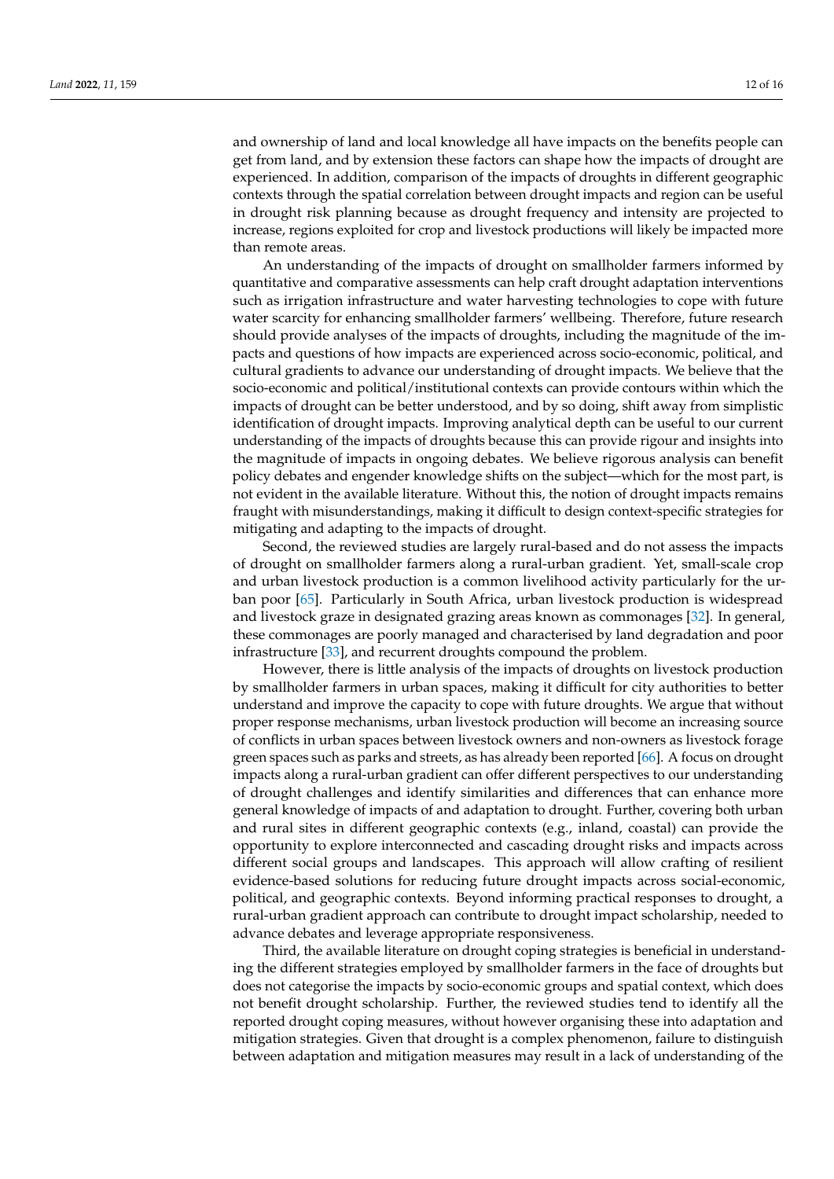and ownership of land and local knowledge all have impacts on the benefits people can get from land, and by extension these factors can shape how the impacts of drought are experienced. In addition, comparison of the impacts of droughts in different geographic contexts through the spatial correlation between drought impacts and region can be useful in drought risk planning because as drought frequency and intensity are projected to increase, regions exploited for crop and livestock productions will likely be impacted more than remote areas.

An understanding of the impacts of drought on smallholder farmers informed by quantitative and comparative assessments can help craft drought adaptation interventions such as irrigation infrastructure and water harvesting technologies to cope with future water scarcity for enhancing smallholder farmers' wellbeing. Therefore, future research should provide analyses of the impacts of droughts, including the magnitude of the impacts and questions of how impacts are experienced across socio-economic, political, and cultural gradients to advance our understanding of drought impacts. We believe that the socio-economic and political/institutional contexts can provide contours within which the impacts of drought can be better understood, and by so doing, shift away from simplistic identification of drought impacts. Improving analytical depth can be useful to our current understanding of the impacts of droughts because this can provide rigour and insights into the magnitude of impacts in ongoing debates. We believe rigorous analysis can benefit policy debates and engender knowledge shifts on the subject—which for the most part, is not evident in the available literature. Without this, the notion of drought impacts remains fraught with misunderstandings, making it difficult to design context-specific strategies for mitigating and adapting to the impacts of drought.

Second, the reviewed studies are largely rural-based and do not assess the impacts of drought on smallholder farmers along a rural-urban gradient. Yet, small-scale crop and urban livestock production is a common livelihood activity particularly for the urban poor [\[65\]](#page-15-4). Particularly in South Africa, urban livestock production is widespread and livestock graze in designated grazing areas known as commonages [\[32\]](#page-14-2). In general, these commonages are poorly managed and characterised by land degradation and poor infrastructure [\[33\]](#page-14-3), and recurrent droughts compound the problem.

However, there is little analysis of the impacts of droughts on livestock production by smallholder farmers in urban spaces, making it difficult for city authorities to better understand and improve the capacity to cope with future droughts. We argue that without proper response mechanisms, urban livestock production will become an increasing source of conflicts in urban spaces between livestock owners and non-owners as livestock forage green spaces such as parks and streets, as has already been reported [\[66\]](#page-15-5). A focus on drought impacts along a rural-urban gradient can offer different perspectives to our understanding of drought challenges and identify similarities and differences that can enhance more general knowledge of impacts of and adaptation to drought. Further, covering both urban and rural sites in different geographic contexts (e.g., inland, coastal) can provide the opportunity to explore interconnected and cascading drought risks and impacts across different social groups and landscapes. This approach will allow crafting of resilient evidence-based solutions for reducing future drought impacts across social-economic, political, and geographic contexts. Beyond informing practical responses to drought, a rural-urban gradient approach can contribute to drought impact scholarship, needed to advance debates and leverage appropriate responsiveness.

Third, the available literature on drought coping strategies is beneficial in understanding the different strategies employed by smallholder farmers in the face of droughts but does not categorise the impacts by socio-economic groups and spatial context, which does not benefit drought scholarship. Further, the reviewed studies tend to identify all the reported drought coping measures, without however organising these into adaptation and mitigation strategies. Given that drought is a complex phenomenon, failure to distinguish between adaptation and mitigation measures may result in a lack of understanding of the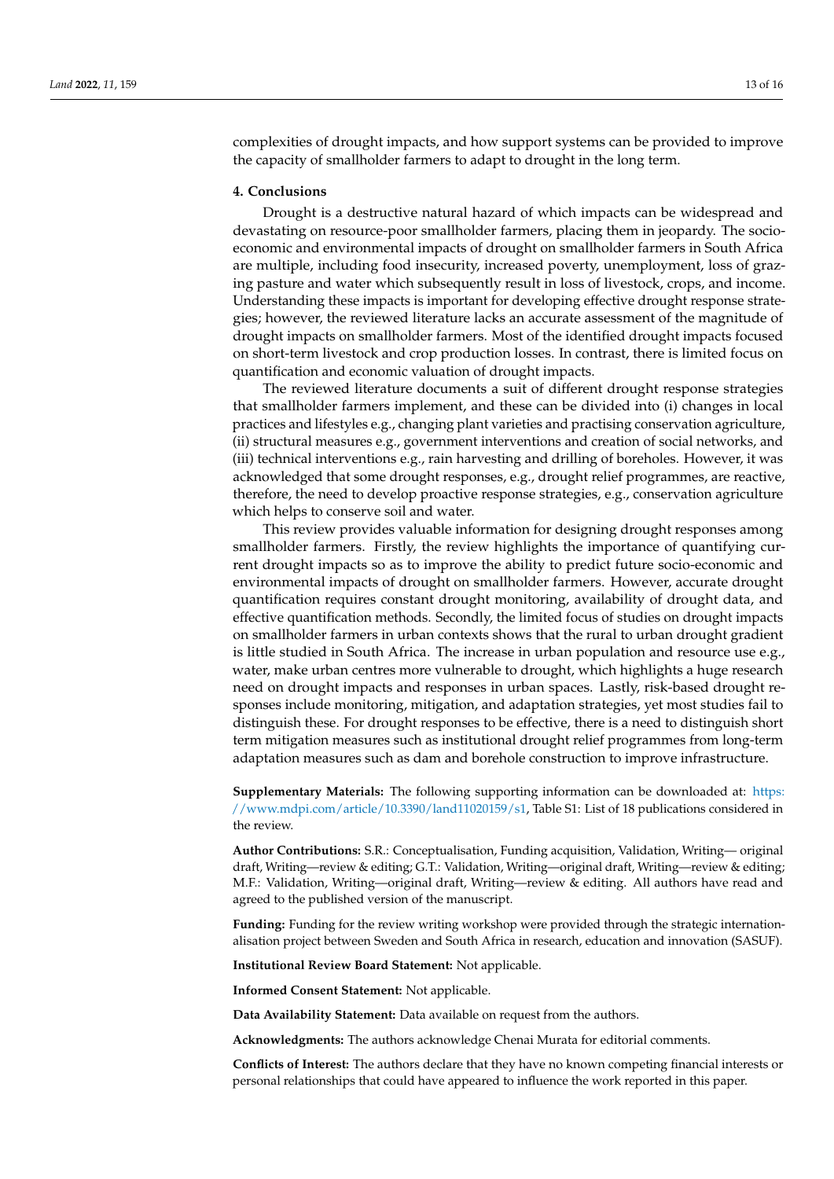complexities of drought impacts, and how support systems can be provided to improve the capacity of smallholder farmers to adapt to drought in the long term.

#### **4. Conclusions**

Drought is a destructive natural hazard of which impacts can be widespread and devastating on resource-poor smallholder farmers, placing them in jeopardy. The socioeconomic and environmental impacts of drought on smallholder farmers in South Africa are multiple, including food insecurity, increased poverty, unemployment, loss of grazing pasture and water which subsequently result in loss of livestock, crops, and income. Understanding these impacts is important for developing effective drought response strategies; however, the reviewed literature lacks an accurate assessment of the magnitude of drought impacts on smallholder farmers. Most of the identified drought impacts focused on short-term livestock and crop production losses. In contrast, there is limited focus on quantification and economic valuation of drought impacts.

The reviewed literature documents a suit of different drought response strategies that smallholder farmers implement, and these can be divided into (i) changes in local practices and lifestyles e.g., changing plant varieties and practising conservation agriculture, (ii) structural measures e.g., government interventions and creation of social networks, and (iii) technical interventions e.g., rain harvesting and drilling of boreholes. However, it was acknowledged that some drought responses, e.g., drought relief programmes, are reactive, therefore, the need to develop proactive response strategies, e.g., conservation agriculture which helps to conserve soil and water.

This review provides valuable information for designing drought responses among smallholder farmers. Firstly, the review highlights the importance of quantifying current drought impacts so as to improve the ability to predict future socio-economic and environmental impacts of drought on smallholder farmers. However, accurate drought quantification requires constant drought monitoring, availability of drought data, and effective quantification methods. Secondly, the limited focus of studies on drought impacts on smallholder farmers in urban contexts shows that the rural to urban drought gradient is little studied in South Africa. The increase in urban population and resource use e.g., water, make urban centres more vulnerable to drought, which highlights a huge research need on drought impacts and responses in urban spaces. Lastly, risk-based drought responses include monitoring, mitigation, and adaptation strategies, yet most studies fail to distinguish these. For drought responses to be effective, there is a need to distinguish short term mitigation measures such as institutional drought relief programmes from long-term adaptation measures such as dam and borehole construction to improve infrastructure.

**Supplementary Materials:** The following supporting information can be downloaded at: [https:](https://www.mdpi.com/article/10.3390/land11020159/s1) [//www.mdpi.com/article/10.3390/land11020159/s1,](https://www.mdpi.com/article/10.3390/land11020159/s1) Table S1: List of 18 publications considered in the review.

**Author Contributions:** S.R.: Conceptualisation, Funding acquisition, Validation, Writing— original draft, Writing—review & editing; G.T.: Validation, Writing—original draft, Writing—review & editing; M.F.: Validation, Writing—original draft, Writing—review & editing. All authors have read and agreed to the published version of the manuscript.

**Funding:** Funding for the review writing workshop were provided through the strategic internationalisation project between Sweden and South Africa in research, education and innovation (SASUF).

**Institutional Review Board Statement:** Not applicable.

**Informed Consent Statement:** Not applicable.

**Data Availability Statement:** Data available on request from the authors.

**Acknowledgments:** The authors acknowledge Chenai Murata for editorial comments.

**Conflicts of Interest:** The authors declare that they have no known competing financial interests or personal relationships that could have appeared to influence the work reported in this paper.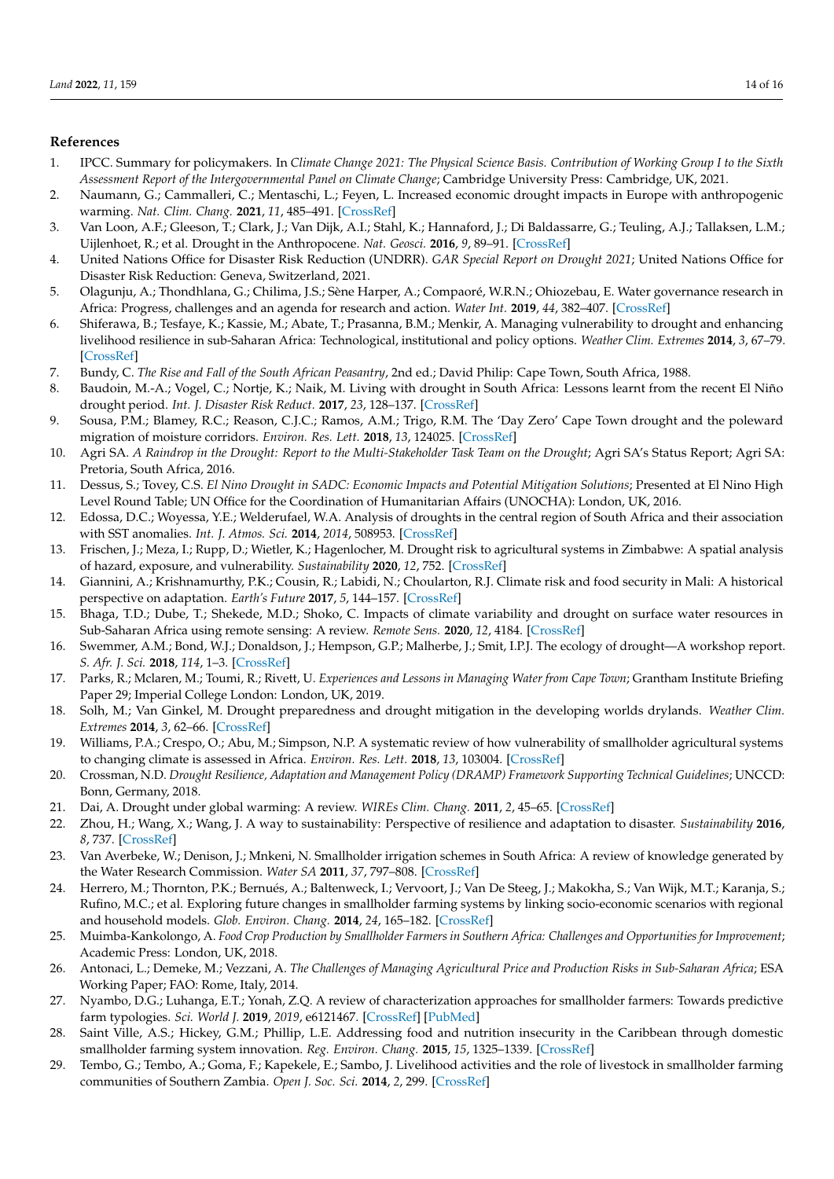## **References**

- <span id="page-13-0"></span>1. IPCC. Summary for policymakers. In *Climate Change 2021: The Physical Science Basis. Contribution of Working Group I to the Sixth Assessment Report of the Intergovernmental Panel on Climate Change*; Cambridge University Press: Cambridge, UK, 2021.
- <span id="page-13-1"></span>2. Naumann, G.; Cammalleri, C.; Mentaschi, L.; Feyen, L. Increased economic drought impacts in Europe with anthropogenic warming. *Nat. Clim. Chang.* **2021**, *11*, 485–491. [\[CrossRef\]](http://doi.org/10.1038/s41558-021-01044-3)
- <span id="page-13-2"></span>3. Van Loon, A.F.; Gleeson, T.; Clark, J.; Van Dijk, A.I.; Stahl, K.; Hannaford, J.; Di Baldassarre, G.; Teuling, A.J.; Tallaksen, L.M.; Uijlenhoet, R.; et al. Drought in the Anthropocene. *Nat. Geosci.* **2016**, *9*, 89–91. [\[CrossRef\]](http://doi.org/10.1038/ngeo2646)
- <span id="page-13-3"></span>4. United Nations Office for Disaster Risk Reduction (UNDRR). *GAR Special Report on Drought 2021*; United Nations Office for Disaster Risk Reduction: Geneva, Switzerland, 2021.
- <span id="page-13-4"></span>5. Olagunju, A.; Thondhlana, G.; Chilima, J.S.; Sène Harper, A.; Compaoré, W.R.N.; Ohiozebau, E. Water governance research in Africa: Progress, challenges and an agenda for research and action. *Water Int.* **2019**, *44*, 382–407. [\[CrossRef\]](http://doi.org/10.1080/02508060.2019.1594576)
- <span id="page-13-5"></span>6. Shiferawa, B.; Tesfaye, K.; Kassie, M.; Abate, T.; Prasanna, B.M.; Menkir, A. Managing vulnerability to drought and enhancing livelihood resilience in sub-Saharan Africa: Technological, institutional and policy options. *Weather Clim. Extremes* **2014**, *3*, 67–79. [\[CrossRef\]](http://doi.org/10.1016/j.wace.2014.04.004)
- <span id="page-13-6"></span>7. Bundy, C. *The Rise and Fall of the South African Peasantry*, 2nd ed.; David Philip: Cape Town, South Africa, 1988.
- <span id="page-13-8"></span>8. Baudoin, M.-A.; Vogel, C.; Nortje, K.; Naik, M. Living with drought in South Africa: Lessons learnt from the recent El Niño drought period. *Int. J. Disaster Risk Reduct.* **2017**, *23*, 128–137. [\[CrossRef\]](http://doi.org/10.1016/j.ijdrr.2017.05.005)
- <span id="page-13-7"></span>9. Sousa, P.M.; Blamey, R.C.; Reason, C.J.C.; Ramos, A.M.; Trigo, R.M. The 'Day Zero' Cape Town drought and the poleward migration of moisture corridors. *Environ. Res. Lett.* **2018**, *13*, 124025. [\[CrossRef\]](http://doi.org/10.1088/1748-9326/aaebc7)
- <span id="page-13-9"></span>10. Agri SA. *A Raindrop in the Drought: Report to the Multi-Stakeholder Task Team on the Drought; Agri SA's Status Report; Agri SA:* Pretoria, South Africa, 2016.
- <span id="page-13-10"></span>11. Dessus, S.; Tovey, C.S. *El Nino Drought in SADC: Economic Impacts and Potential Mitigation Solutions*; Presented at El Nino High Level Round Table; UN Office for the Coordination of Humanitarian Affairs (UNOCHA): London, UK, 2016.
- <span id="page-13-11"></span>12. Edossa, D.C.; Woyessa, Y.E.; Welderufael, W.A. Analysis of droughts in the central region of South Africa and their association with SST anomalies. *Int. J. Atmos. Sci.* **2014**, *2014*, 508953. [\[CrossRef\]](http://doi.org/10.1155/2014/508953)
- <span id="page-13-12"></span>13. Frischen, J.; Meza, I.; Rupp, D.; Wietler, K.; Hagenlocher, M. Drought risk to agricultural systems in Zimbabwe: A spatial analysis of hazard, exposure, and vulnerability. *Sustainability* **2020**, *12*, 752. [\[CrossRef\]](http://doi.org/10.3390/su12030752)
- <span id="page-13-13"></span>14. Giannini, A.; Krishnamurthy, P.K.; Cousin, R.; Labidi, N.; Choularton, R.J. Climate risk and food security in Mali: A historical perspective on adaptation. *Earth's Future* **2017**, *5*, 144–157. [\[CrossRef\]](http://doi.org/10.1002/2016EF000404)
- <span id="page-13-14"></span>15. Bhaga, T.D.; Dube, T.; Shekede, M.D.; Shoko, C. Impacts of climate variability and drought on surface water resources in Sub-Saharan Africa using remote sensing: A review. *Remote Sens.* **2020**, *12*, 4184. [\[CrossRef\]](http://doi.org/10.3390/rs12244184)
- <span id="page-13-15"></span>16. Swemmer, A.M.; Bond, W.J.; Donaldson, J.; Hempson, G.P.; Malherbe, J.; Smit, I.P.J. The ecology of drought—A workshop report. *S. Afr. J. Sci.* **2018**, *114*, 1–3. [\[CrossRef\]](http://doi.org/10.17159/sajs.2018/5098)
- <span id="page-13-16"></span>17. Parks, R.; Mclaren, M.; Toumi, R.; Rivett, U. *Experiences and Lessons in Managing Water from Cape Town*; Grantham Institute Briefing Paper 29; Imperial College London: London, UK, 2019.
- <span id="page-13-17"></span>18. Solh, M.; Van Ginkel, M. Drought preparedness and drought mitigation in the developing worlds drylands. *Weather Clim. Extremes* **2014**, *3*, 62–66. [\[CrossRef\]](http://doi.org/10.1016/j.wace.2014.03.003)
- <span id="page-13-18"></span>19. Williams, P.A.; Crespo, O.; Abu, M.; Simpson, N.P. A systematic review of how vulnerability of smallholder agricultural systems to changing climate is assessed in Africa. *Environ. Res. Lett.* **2018**, *13*, 103004. [\[CrossRef\]](http://doi.org/10.1088/1748-9326/aae026)
- <span id="page-13-19"></span>20. Crossman, N.D. *Drought Resilience, Adaptation and Management Policy (DRAMP) Framework Supporting Technical Guidelines*; UNCCD: Bonn, Germany, 2018.
- <span id="page-13-20"></span>21. Dai, A. Drought under global warming: A review. *WIREs Clim. Chang.* **2011**, *2*, 45–65. [\[CrossRef\]](http://doi.org/10.1002/wcc.81)
- <span id="page-13-21"></span>22. Zhou, H.; Wang, X.; Wang, J. A way to sustainability: Perspective of resilience and adaptation to disaster. *Sustainability* **2016**, *8*, 737. [\[CrossRef\]](http://doi.org/10.3390/su8080737)
- <span id="page-13-22"></span>23. Van Averbeke, W.; Denison, J.; Mnkeni, N. Smallholder irrigation schemes in South Africa: A review of knowledge generated by the Water Research Commission. *Water SA* **2011**, *37*, 797–808. [\[CrossRef\]](http://doi.org/10.4314/wsa.v37i5.17)
- <span id="page-13-23"></span>24. Herrero, M.; Thornton, P.K.; Bernués, A.; Baltenweck, I.; Vervoort, J.; Van De Steeg, J.; Makokha, S.; Van Wijk, M.T.; Karanja, S.; Rufino, M.C.; et al. Exploring future changes in smallholder farming systems by linking socio-economic scenarios with regional and household models. *Glob. Environ. Chang.* **2014**, *24*, 165–182. [\[CrossRef\]](http://doi.org/10.1016/j.gloenvcha.2013.12.008)
- <span id="page-13-24"></span>25. Muimba-Kankolongo, A. *Food Crop Production by Smallholder Farmers in Southern Africa: Challenges and Opportunities for Improvement*; Academic Press: London, UK, 2018.
- <span id="page-13-25"></span>26. Antonaci, L.; Demeke, M.; Vezzani, A. *The Challenges of Managing Agricultural Price and Production Risks in Sub-Saharan Africa*; ESA Working Paper; FAO: Rome, Italy, 2014.
- <span id="page-13-26"></span>27. Nyambo, D.G.; Luhanga, E.T.; Yonah, Z.Q. A review of characterization approaches for smallholder farmers: Towards predictive farm typologies. *Sci. World J.* **2019**, *2019*, e6121467. [\[CrossRef\]](http://doi.org/10.1155/2019/6121467) [\[PubMed\]](http://www.ncbi.nlm.nih.gov/pubmed/31239834)
- <span id="page-13-27"></span>28. Saint Ville, A.S.; Hickey, G.M.; Phillip, L.E. Addressing food and nutrition insecurity in the Caribbean through domestic smallholder farming system innovation. *Reg. Environ. Chang.* **2015**, *15*, 1325–1339. [\[CrossRef\]](http://doi.org/10.1007/s10113-015-0770-9)
- <span id="page-13-28"></span>29. Tembo, G.; Tembo, A.; Goma, F.; Kapekele, E.; Sambo, J. Livelihood activities and the role of livestock in smallholder farming communities of Southern Zambia. *Open J. Soc. Sci.* **2014**, *2*, 299. [\[CrossRef\]](http://doi.org/10.4236/jss.2014.24033)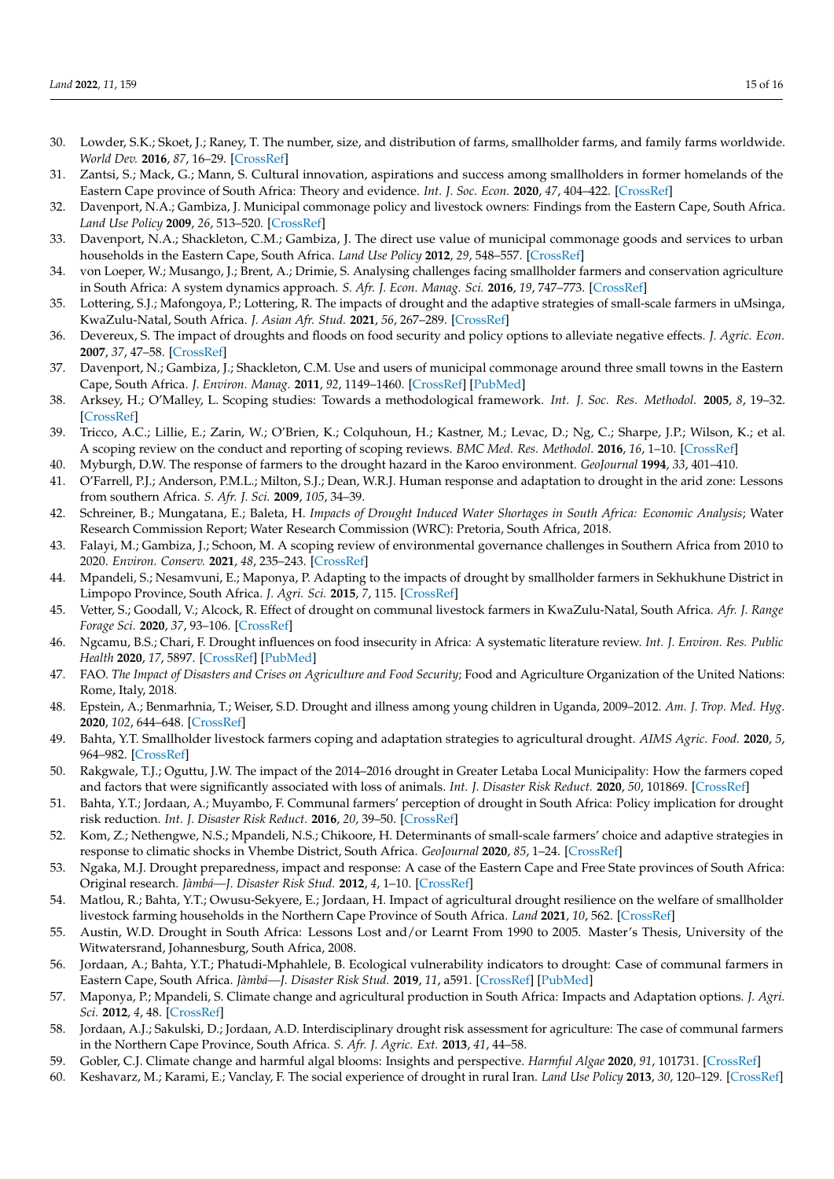- <span id="page-14-0"></span>30. Lowder, S.K.; Skoet, J.; Raney, T. The number, size, and distribution of farms, smallholder farms, and family farms worldwide. *World Dev.* **2016**, *87*, 16–29. [\[CrossRef\]](http://doi.org/10.1016/j.worlddev.2015.10.041)
- <span id="page-14-1"></span>31. Zantsi, S.; Mack, G.; Mann, S. Cultural innovation, aspirations and success among smallholders in former homelands of the Eastern Cape province of South Africa: Theory and evidence. *Int. J. Soc. Econ.* **2020**, *47*, 404–422. [\[CrossRef\]](http://doi.org/10.1108/IJSE-05-2018-0226)
- <span id="page-14-2"></span>32. Davenport, N.A.; Gambiza, J. Municipal commonage policy and livestock owners: Findings from the Eastern Cape, South Africa. *Land Use Policy* **2009**, *26*, 513–520. [\[CrossRef\]](http://doi.org/10.1016/j.landusepol.2008.07.007)
- <span id="page-14-3"></span>33. Davenport, N.A.; Shackleton, C.M.; Gambiza, J. The direct use value of municipal commonage goods and services to urban households in the Eastern Cape, South Africa. *Land Use Policy* **2012**, *29*, 548–557. [\[CrossRef\]](http://doi.org/10.1016/j.landusepol.2011.09.008)
- <span id="page-14-4"></span>34. von Loeper, W.; Musango, J.; Brent, A.; Drimie, S. Analysing challenges facing smallholder farmers and conservation agriculture in South Africa: A system dynamics approach. *S. Afr. J. Econ. Manag. Sci.* **2016**, *19*, 747–773. [\[CrossRef\]](http://doi.org/10.4102/sajems.v19i5.1588)
- <span id="page-14-5"></span>35. Lottering, S.J.; Mafongoya, P.; Lottering, R. The impacts of drought and the adaptive strategies of small-scale farmers in uMsinga, KwaZulu-Natal, South Africa. *J. Asian Afr. Stud.* **2021**, *56*, 267–289. [\[CrossRef\]](http://doi.org/10.1177/0021909620916898)
- <span id="page-14-6"></span>36. Devereux, S. The impact of droughts and floods on food security and policy options to alleviate negative effects. *J. Agric. Econ.* **2007**, *37*, 47–58. [\[CrossRef\]](http://doi.org/10.1111/j.1574-0862.2007.00234.x)
- <span id="page-14-7"></span>37. Davenport, N.; Gambiza, J.; Shackleton, C.M. Use and users of municipal commonage around three small towns in the Eastern Cape, South Africa. *J. Environ. Manag.* **2011**, *92*, 1149–1460. [\[CrossRef\]](http://doi.org/10.1016/j.jenvman.2010.11.003) [\[PubMed\]](http://www.ncbi.nlm.nih.gov/pubmed/21251751)
- <span id="page-14-8"></span>38. Arksey, H.; O'Malley, L. Scoping studies: Towards a methodological framework. *Int. J. Soc. Res. Methodol.* **2005**, *8*, 19–32. [\[CrossRef\]](http://doi.org/10.1080/1364557032000119616)
- <span id="page-14-9"></span>39. Tricco, A.C.; Lillie, E.; Zarin, W.; O'Brien, K.; Colquhoun, H.; Kastner, M.; Levac, D.; Ng, C.; Sharpe, J.P.; Wilson, K.; et al. A scoping review on the conduct and reporting of scoping reviews. *BMC Med. Res. Methodol.* **2016**, *16*, 1–10. [\[CrossRef\]](http://doi.org/10.1186/s12874-016-0116-4)
- <span id="page-14-10"></span>40. Myburgh, D.W. The response of farmers to the drought hazard in the Karoo environment. *GeoJournal* **1994**, *33*, 401–410.
- <span id="page-14-11"></span>41. O'Farrell, P.J.; Anderson, P.M.L.; Milton, S.J.; Dean, W.R.J. Human response and adaptation to drought in the arid zone: Lessons from southern Africa. *S. Afr. J. Sci.* **2009**, *105*, 34–39.
- <span id="page-14-12"></span>42. Schreiner, B.; Mungatana, E.; Baleta, H. *Impacts of Drought Induced Water Shortages in South Africa: Economic Analysis*; Water Research Commission Report; Water Research Commission (WRC): Pretoria, South Africa, 2018.
- <span id="page-14-13"></span>43. Falayi, M.; Gambiza, J.; Schoon, M. A scoping review of environmental governance challenges in Southern Africa from 2010 to 2020. *Environ. Conserv.* **2021**, *48*, 235–243. [\[CrossRef\]](http://doi.org/10.1017/S0376892921000333)
- <span id="page-14-14"></span>44. Mpandeli, S.; Nesamvuni, E.; Maponya, P. Adapting to the impacts of drought by smallholder farmers in Sekhukhune District in Limpopo Province, South Africa. *J. Agri. Sci.* **2015**, *7*, 115. [\[CrossRef\]](http://doi.org/10.5539/jas.v7n2p115)
- <span id="page-14-15"></span>45. Vetter, S.; Goodall, V.; Alcock, R. Effect of drought on communal livestock farmers in KwaZulu-Natal, South Africa. *Afr. J. Range Forage Sci.* **2020**, *37*, 93–106. [\[CrossRef\]](http://doi.org/10.2989/10220119.2020.1738552)
- <span id="page-14-16"></span>46. Ngcamu, B.S.; Chari, F. Drought influences on food insecurity in Africa: A systematic literature review. *Int. J. Environ. Res. Public Health* **2020**, *17*, 5897. [\[CrossRef\]](http://doi.org/10.3390/ijerph17165897) [\[PubMed\]](http://www.ncbi.nlm.nih.gov/pubmed/32823825)
- <span id="page-14-17"></span>47. FAO. The Impact of Disasters and Crises on Agriculture and Food Security; Food and Agriculture Organization of the United Nations: Rome, Italy, 2018.
- <span id="page-14-18"></span>48. Epstein, A.; Benmarhnia, T.; Weiser, S.D. Drought and illness among young children in Uganda, 2009–2012. *Am. J. Trop. Med. Hyg.* **2020**, *102*, 644–648. [\[CrossRef\]](http://doi.org/10.4269/ajtmh.19-0412)
- <span id="page-14-19"></span>49. Bahta, Y.T. Smallholder livestock farmers coping and adaptation strategies to agricultural drought. *AIMS Agric. Food.* **2020**, *5*, 964–982. [\[CrossRef\]](http://doi.org/10.3934/agrfood.2020.4.964)
- <span id="page-14-20"></span>50. Rakgwale, T.J.; Oguttu, J.W. The impact of the 2014–2016 drought in Greater Letaba Local Municipality: How the farmers coped and factors that were significantly associated with loss of animals. *Int. J. Disaster Risk Reduct.* **2020**, *50*, 101869. [\[CrossRef\]](http://doi.org/10.1016/j.ijdrr.2020.101869)
- <span id="page-14-21"></span>51. Bahta, Y.T.; Jordaan, A.; Muyambo, F. Communal farmers' perception of drought in South Africa: Policy implication for drought risk reduction. *Int. J. Disaster Risk Reduct.* **2016**, *20*, 39–50. [\[CrossRef\]](http://doi.org/10.1016/j.ijdrr.2016.10.007)
- <span id="page-14-22"></span>52. Kom, Z.; Nethengwe, N.S.; Mpandeli, N.S.; Chikoore, H. Determinants of small-scale farmers' choice and adaptive strategies in response to climatic shocks in Vhembe District, South Africa. *GeoJournal* **2020**, *85*, 1–24. [\[CrossRef\]](http://doi.org/10.1007/s10708-020-10272-7)
- <span id="page-14-23"></span>53. Ngaka, M.J. Drought preparedness, impact and response: A case of the Eastern Cape and Free State provinces of South Africa: Original research. *Jàmbá—J. Disaster Risk Stud.* **2012**, *4*, 1–10. [\[CrossRef\]](http://doi.org/10.4102/jamba.v4i1.47)
- <span id="page-14-24"></span>54. Matlou, R.; Bahta, Y.T.; Owusu-Sekyere, E.; Jordaan, H. Impact of agricultural drought resilience on the welfare of smallholder livestock farming households in the Northern Cape Province of South Africa. *Land* **2021**, *10*, 562. [\[CrossRef\]](http://doi.org/10.3390/land10060562)
- <span id="page-14-25"></span>55. Austin, W.D. Drought in South Africa: Lessons Lost and/or Learnt From 1990 to 2005. Master's Thesis, University of the Witwatersrand, Johannesburg, South Africa, 2008.
- <span id="page-14-26"></span>56. Jordaan, A.; Bahta, Y.T.; Phatudi-Mphahlele, B. Ecological vulnerability indicators to drought: Case of communal farmers in Eastern Cape, South Africa. *Jàmbá—J. Disaster Risk Stud.* **2019**, *11*, a591. [\[CrossRef\]](http://doi.org/10.4102/jamba.v11i1.591) [\[PubMed\]](http://www.ncbi.nlm.nih.gov/pubmed/30863508)
- <span id="page-14-27"></span>57. Maponya, P.; Mpandeli, S. Climate change and agricultural production in South Africa: Impacts and Adaptation options. *J. Agri. Sci.* **2012**, *4*, 48. [\[CrossRef\]](http://doi.org/10.5539/jas.v4n10p48)
- <span id="page-14-28"></span>58. Jordaan, A.J.; Sakulski, D.; Jordaan, A.D. Interdisciplinary drought risk assessment for agriculture: The case of communal farmers in the Northern Cape Province, South Africa. *S. Afr. J. Agric. Ext.* **2013**, *41*, 44–58.
- <span id="page-14-29"></span>59. Gobler, C.J. Climate change and harmful algal blooms: Insights and perspective. *Harmful Algae* **2020**, *91*, 101731. [\[CrossRef\]](http://doi.org/10.1016/j.hal.2019.101731)
- <span id="page-14-30"></span>60. Keshavarz, M.; Karami, E.; Vanclay, F. The social experience of drought in rural Iran. *Land Use Policy* **2013**, *30*, 120–129. [\[CrossRef\]](http://doi.org/10.1016/j.landusepol.2012.03.003)